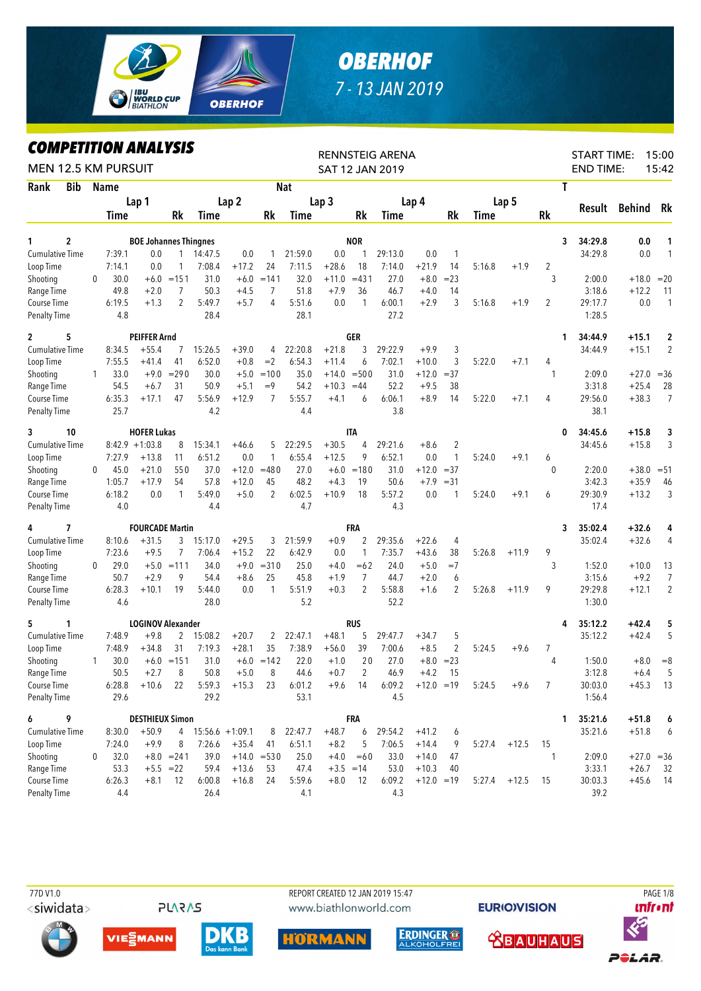

## **OBERHOF** 7 - 13 JAN 2019

**COMPETITION ANALYSIS** 

| LUMPEIIIIUN ANALYƏIƏ<br><b>MEN 12.5 KM PURSUIT</b> |   |             |                                     |                |                     |                  |                |            |                  |                | RENNSTEIG ARENA<br><b>SAT 12 JAN 2019</b> |              |              |                |         |                | <b>START TIME:</b><br><b>END TIME:</b> |               | 15:00<br>15:42 |
|----------------------------------------------------|---|-------------|-------------------------------------|----------------|---------------------|------------------|----------------|------------|------------------|----------------|-------------------------------------------|--------------|--------------|----------------|---------|----------------|----------------------------------------|---------------|----------------|
| Rank<br><b>Bib</b>                                 |   | <b>Name</b> |                                     |                |                     |                  |                | <b>Nat</b> |                  |                |                                           |              |              |                |         | T              |                                        |               |                |
|                                                    |   |             | Lap 1                               |                |                     | Lap <sub>2</sub> |                |            | Lap <sub>3</sub> |                |                                           | Lap 4        |              |                | Lap 5   |                |                                        |               |                |
|                                                    |   | <b>Time</b> |                                     | Rk             | <b>Time</b>         |                  | Rk             | Time       |                  | Rk             | <b>Time</b>                               |              | Rk           | Time           |         | Rk             | Result                                 | <b>Behind</b> | Rk             |
| $\mathbf 2$<br>1                                   |   |             |                                     |                |                     |                  |                |            |                  | <b>NOR</b>     |                                           |              |              |                |         | 3              | 34:29.8                                |               |                |
| <b>Cumulative Time</b>                             |   | 7:39.1      | <b>BOE Johannes Thingnes</b><br>0.0 | $\mathbf{1}$   | 14:47.5             | 0.0              |                | 21:59.0    | 0.0              |                | 29:13.0                                   | 0.0          | 1            |                |         |                | 34:29.8                                | 0.0<br>0.0    | 1<br>1         |
| Loop Time                                          |   | 7:14.1      | 0.0                                 | 1              | 7:08.4              | $+17.2$          | 24             | 7:11.5     | $+28.6$          | 18             | 7:14.0                                    | $+21.9$      | 14           | 5:16.8         | $+1.9$  | $\overline{2}$ |                                        |               |                |
| Shooting                                           | 0 | 30.0        |                                     | $+6.0 = 151$   | 31.0                | $+6.0$           | $=141$         | 32.0       | $+11.0$          | $= 431$        | 27.0                                      | $+8.0$       | $= 23$       |                |         | 3              | 2:00.0                                 | $+18.0$       | $=20$          |
| Range Time                                         |   | 49.8        | $+2.0$                              | 7              | 50.3                | $+4.5$           | 7              | 51.8       | $+7.9$           | 36             | 46.7                                      | $+4.0$       | 14           |                |         |                | 3:18.6                                 | $+12.2$       | 11             |
| Course Time                                        |   | 6:19.5      | $+1.3$                              | $\overline{2}$ | 5:49.7              | $+5.7$           | 4              | 5:51.6     | 0.0              | 1              | 6:00.1                                    | $+2.9$       | 3            | 5:16.8         | $+1.9$  | $\overline{c}$ | 29:17.7                                | 0.0           | 1              |
| <b>Penalty Time</b>                                |   | 4.8         |                                     |                | 28.4                |                  |                | 28.1       |                  |                | 27.2                                      |              |              |                |         |                | 1:28.5                                 |               |                |
| 5<br>$\mathbf{2}$                                  |   |             | <b>PEIFFER Arnd</b>                 |                |                     |                  |                |            |                  | GER            |                                           |              |              |                |         | 1              | 34:44.9                                | $+15.1$       | $\overline{2}$ |
| <b>Cumulative Time</b>                             |   | 8:34.5      | $+55.4$                             | 7              | 15:26.5             | $+39.0$          | 4              | 22:20.8    | $+21.8$          | 3              | 29:22.9                                   | $+9.9$       | 3            |                |         |                | 34:44.9                                | $+15.1$       | $\overline{2}$ |
| Loop Time                                          |   | 7:55.5      | $+41.4$                             | 41             | 6:52.0              | $+0.8$           | $=2$           | 6:54.3     | $+11.4$          | 6              | 7:02.1                                    | $+10.0$      | 3            | 5:22.0         | $+7.1$  | 4              |                                        |               |                |
| Shooting                                           | 1 | 33.0        | $+9.0$                              | $= 290$        | 30.0                | $+5.0$           | $=100$         | 35.0       | $+14.0$          | $= 500$        | 31.0                                      | $+12.0$      | $= 37$       |                |         | -1             | 2:09.0                                 | $+27.0$       | $=$ 36         |
| Range Time                                         |   | 54.5        | $+6.7$                              | 31             | 50.9                | $+5.1$           | $=9$           | 54.2       | $+10.3$          | $=44$          | 52.2                                      | $+9.5$       | 38           |                |         |                | 3:31.8                                 | $+25.4$       | 28             |
| Course Time                                        |   | 6:35.3      | $+17.1$                             | 47             | 5:56.9              | $+12.9$          | $\overline{7}$ | 5:55.7     | $+4.1$           | 6              | 6:06.1                                    | $+8.9$       | 14           | 5:22.0         | $+7.1$  | 4              | 29:56.0                                | $+38.3$       | $\overline{7}$ |
| <b>Penalty Time</b>                                |   | 25.7        |                                     |                | 4.2                 |                  |                | 4.4        |                  |                | 3.8                                       |              |              |                |         |                | 38.1                                   |               |                |
| 3<br>10                                            |   |             | <b>HOFER Lukas</b>                  |                |                     |                  |                |            |                  | <b>ITA</b>     |                                           |              |              |                |         | 0              | 34:45.6                                | $+15.8$       | 3              |
| <b>Cumulative Time</b>                             |   |             | $8:42.9 +1:03.8$                    | 8              | 15:34.1             | $+46.6$          | 5              | 22:29.5    | $+30.5$          | 4              | 29:21.6                                   | $+8.6$       | 2            |                |         |                | 34:45.6                                | $+15.8$       | 3              |
| Loop Time                                          |   | 7:27.9      | $+13.8$                             | 11             | 6:51.2              | 0.0              | 1              | 6:55.4     | $+12.5$          | 9              | 6:52.1                                    | 0.0          | $\mathbf{1}$ | 5:24.0         | $+9.1$  | 6              |                                        |               |                |
| Shooting                                           | 0 | 45.0        | $+21.0$                             | 550            | 37.0                | $+12.0$          | $=480$         | 27.0       | $+6.0$           | $=180$         | 31.0                                      | $+12.0$      | $= 37$       |                |         | $\mathbf{0}$   | 2:20.0                                 | $+38.0$       | $= 51$         |
| Range Time                                         |   | 1:05.7      | $+17.9$                             | 54             | 57.8                | $+12.0$          | 45             | 48.2       | $+4.3$           | 19             | 50.6                                      | $+7.9$       | $= 31$       |                |         |                | 3:42.3                                 | $+35.9$       | 46             |
| Course Time                                        |   | 6:18.2      | 0.0                                 | 1              | 5:49.0              | $+5.0$           | 2              | 6:02.5     | $+10.9$          | 18             | 5:57.2                                    | 0.0          | 1            | 5:24.0         | $+9.1$  | 6              | 29:30.9                                | $+13.2$       | 3              |
| <b>Penalty Time</b>                                |   | 4.0         |                                     |                | 4.4                 |                  |                | 4.7        |                  |                | 4.3                                       |              |              |                |         |                | 17.4                                   |               |                |
| 4<br>7                                             |   |             | <b>FOURCADE Martin</b>              |                |                     |                  |                |            |                  | FRA            |                                           |              |              |                |         | 3              | 35:02.4                                | $+32.6$       | 4              |
| <b>Cumulative Time</b>                             |   | 8:10.6      | $+31.5$                             | 3              | 15:17.0             | $+29.5$          | 3              | 21:59.9    | $+0.9$           | 2              | 29:35.6                                   | $+22.6$      | 4            |                |         |                | 35:02.4                                | $+32.6$       | 4              |
| Loop Time                                          |   | 7:23.6      | $+9.5$                              | 7              | 7:06.4              | $+15.2$          | 22             | 6:42.9     | 0.0              | $\mathbf{1}$   | 7:35.7                                    | $+43.6$      | 38           | 5:26.8         | $+11.9$ | 9              |                                        |               |                |
| Shooting                                           | 0 | 29.0        |                                     | $+5.0 = 111$   | 34.0                | $+9.0$           | $= 310$        | 25.0       | +4.0             | $=62$          | 24.0                                      | $+5.0$       | $=7$         |                |         | 3              | 1:52.0                                 | $+10.0$       | 13             |
| Range Time                                         |   | 50.7        | $+2.9$                              | 9              | 54.4                | $+8.6$           | 25             | 45.8       | $+1.9$           | 7              | 44.7                                      | $+2.0$       | 6            |                |         |                | 3:15.6                                 | $+9.2$        | 7              |
| Course Time                                        |   | 6:28.3      | $+10.1$                             | 19             | 5:44.0              | 0.0              | $\mathbf{1}$   | 5:51.9     | $+0.3$           | $\overline{2}$ | 5:58.8                                    | $+1.6$       | 2            | 5:26.8         | $+11.9$ | 9              | 29:29.8                                | $+12.1$       | $\overline{2}$ |
| <b>Penalty Time</b>                                |   | 4.6         |                                     |                | 28.0                |                  |                | 5.2        |                  |                | 52.2                                      |              |              |                |         |                | 1:30.0                                 |               |                |
| 5<br>1                                             |   |             | <b>LOGINOV Alexander</b>            |                |                     |                  |                |            |                  | RUS            |                                           |              |              |                |         | 4              | 35:12.2                                | $+42.4$       | 5              |
| <b>Cumulative Time</b>                             |   | 7:48.9      | $+9.8$                              | $\mathbf{2}$   | 15:08.2             | $+20.7$          | $\mathbf{2}$   | 22:47.1    | $+48.1$          | 5              | 29:47.7                                   | $+34.7$      | 5            |                |         |                | 35:12.2                                | $+42.4$       | 5              |
| Loop Time                                          |   | 7:48.9      | $+34.8$                             | 31             | 7:19.3              | $+28.1$          | 35             | 7:38.9     | $+56.0$          | 39             | 7:00.6                                    | $+8.5$       | 2            | 5:24.5         | $+9.6$  | 7              |                                        |               |                |
| Shooting                                           | 1 | 30.0        |                                     | $+6.0 = 151$   | 31.0                |                  | $+6.0 = 142$   | 22.0       | $+1.0$           | 20             | 27.0                                      | $+8.0 = 23$  |              |                |         | 4              | 1:50.0                                 | $+8.0$        | $=8$           |
| Range Time                                         |   | 50.5        | $+2.7$                              | 8              | 50.8                | $+5.0$           | 8              | 44.6       | $+0.7$           | $\mathbf{2}$   | 46.9                                      | $+4.2$       | 15           |                |         |                | 3:12.8                                 | $+6.4$        | 5              |
| Course Time                                        |   | 6:28.8      | $+10.6$ 22                          |                | 5:59.3              | $+15.3$          | 23             | 6:01.2     | $+9.6$           | - 14           | 6:09.2                                    | $+12.0 = 19$ |              | 5:24.5         | $+9.6$  | 7              | 30:03.0                                | $+45.3$       | - 13           |
| <b>Penalty Time</b>                                |   | 29.6        |                                     |                | 29.2                |                  |                | 53.1       |                  |                | 4.5                                       |              |              |                |         |                | 1:56.4                                 |               |                |
| 6<br>9                                             |   |             | <b>DESTHIEUX Simon</b>              |                |                     |                  |                |            |                  | FRA            |                                           |              |              |                |         | 1              | 35:21.6                                | $+51.8$       | 6              |
| <b>Cumulative Time</b>                             |   | 8:30.0      | $+50.9$                             |                | $4$ 15:56.6 +1:09.1 |                  | 8              | 22:47.7    | $+48.7$          | 6              | 29:54.2                                   | $+41.2$      | 6            |                |         |                | 35:21.6                                | $+51.8$       | 6              |
| Loop Time                                          |   | 7:24.0      | $+9.9$                              | 8              | 7:26.6              | $+35.4$          | 41             | 6:51.1     | $+8.2$           | 5              | 7:06.5                                    | $+14.4$      | 9            | $5:27.4$ +12.5 |         | 15             |                                        |               |                |
| Shooting                                           | 0 | 32.0        |                                     | $+8.0 = 241$   | 39.0                |                  | $+14.0 = 530$  | 25.0       | $+4.0$           | $=60$          | 33.0                                      | $+14.0$      | 47           |                |         | -1             | 2:09.0                                 |               | $+27.0 = 36$   |
| Range Time                                         |   | 53.3        | $+5.5 = 22$                         |                | 59.4                | $+13.6$          | 53             | 47.4       | $+3.5 = 14$      |                | 53.0                                      | $+10.3$      | 40           |                |         |                | 3:33.1<br>30:03.3                      | $+26.7$       | 32             |
| Course Time                                        |   | 6:26.3      | $+8.1$                              | - 12           | 6:00.8              | $+16.8$          | 24             | 5:59.6     | $+8.0$           | - 12           | 6:09.2                                    | $+12.0 = 19$ |              | $5:27.4$ +12.5 |         | 15             |                                        | $+45.6$       | -14            |
| Penalty Time                                       |   | 4.4         |                                     |                | 26.4                |                  |                | 4.1        |                  |                | 4.3                                       |              |              |                |         |                | 39.2                                   |               |                |

77D V1.0 <siwidata>

**PLARAS** 

REPORT CREATED 12 JAN 2019 15:47 www.biathlonworld.com













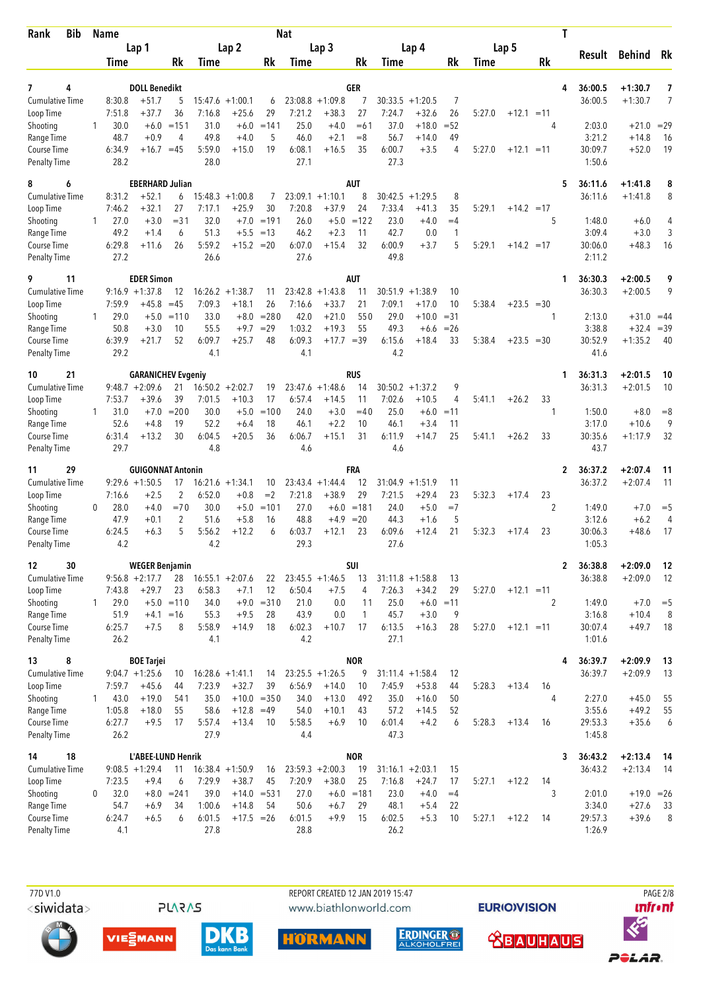| <b>Bib</b><br>Rank                  |              | Name           |                                        |                         |                   |                               |                    | <b>Nat</b>        |                      |                    |                    |                        |              |        |                  | T            |                    |                      |          |
|-------------------------------------|--------------|----------------|----------------------------------------|-------------------------|-------------------|-------------------------------|--------------------|-------------------|----------------------|--------------------|--------------------|------------------------|--------------|--------|------------------|--------------|--------------------|----------------------|----------|
|                                     |              |                | Lap 1                                  |                         |                   | Lap <sub>2</sub>              |                    |                   | Lap <sub>3</sub>     |                    |                    | Lap 4                  |              |        | Lap 5            |              | Result             | <b>Behind</b>        | Rk       |
|                                     |              | Time           |                                        | Rk                      | Time              |                               | Rk                 | Time              |                      | Rk                 | Time               |                        | Rk           | Time   | <b>Rk</b>        |              |                    |                      |          |
| 7<br>4                              |              |                | <b>DOLL Benedikt</b>                   |                         |                   |                               |                    |                   |                      | GER                |                    |                        |              |        |                  | 4            | 36:00.5            | $+1:30.7$            | 7        |
| Cumulative Time                     |              | 8:30.8         | $+51.7$                                | 5                       | 15:47.6           | $+1:00.1$                     | 6                  | 23:08.8           | $+1:09.8$            | 7                  | 30:33.5            | $+1:20.5$              | 7            |        |                  |              | 36:00.5            | $+1:30.7$            | 7        |
| Loop Time                           |              | 7:51.8         | $+37.7$                                | 36                      | 7:16.8            | $+25.6$                       | 29                 | 7:21.2            | $+38.3$              | 27                 | 7:24.7             | $+32.6$                | 26           | 5:27.0 | $+12.1$<br>$=11$ |              |                    |                      |          |
| Shooting                            | 1            | 30.0           | $+6.0$                                 | $=151$                  | 31.0              | $+6.0$                        | $=141$             | 25.0              | $+4.0$               | $=61$              | 37.0               | $+18.0$                | $= 52$       |        |                  | 4            | 2:03.0             | $+21.0$              | $=29$    |
| Range Time<br>Course Time           |              | 48.7<br>6:34.9 | $+0.9$<br>$+16.7 = 45$                 | 4                       | 49.8<br>5:59.0    | $+4.0$<br>$+15.0$             | 5<br>19            | 46.0<br>6:08.1    | $+2.1$<br>$+16.5$    | $=8$<br>35         | 56.7<br>6:00.7     | $+14.0$<br>$+3.5$      | 49<br>4      | 5:27.0 | $+12.1 = 11$     |              | 3:21.2<br>30:09.7  | $+14.8$<br>$+52.0$   | 16<br>19 |
| <b>Penalty Time</b>                 |              | 28.2           |                                        |                         | 28.0              |                               |                    | 27.1              |                      |                    | 27.3               |                        |              |        |                  |              | 1:50.6             |                      |          |
| 8<br>6                              |              |                | <b>EBERHARD Julian</b>                 |                         |                   |                               |                    |                   |                      | <b>AUT</b>         |                    |                        |              |        |                  | 5            | 36:11.6            | $+1:41.8$            | 8        |
| <b>Cumulative Time</b>              |              | 8:31.2         | $+52.1$                                | 6                       |                   | $15:48.3 + 1:00.8$            | 7                  |                   | $23:09.1 + 1:10.1$   | 8                  | 30:42.5            | $+1:29.5$              | 8            |        |                  |              | 36:11.6            | $+1:41.8$            | 8        |
| Loop Time<br>Shooting               | 1            | 7:46.2<br>27.0 | $+32.1$<br>$+3.0$                      | 27<br>$= 31$            | 7:17.1<br>32.0    | $+25.9$<br>$+7.0$             | 30<br>$=191$       | 7:20.8<br>26.0    | $+37.9$<br>$+5.0$    | 24<br>$=122$       | 7:33.4<br>23.0     | $+41.3$<br>$+4.0$      | 35<br>$=4$   | 5:29.1 | $+14.2 = 17$     | 5            | 1:48.0             | $+6.0$               | 4        |
| Range Time                          |              | 49.2           | $+1.4$                                 | 6                       | 51.3              | $+5.5$                        | $=13$              | 46.2              | $+2.3$               | 11                 | 42.7               | 0.0                    | $\mathbf{1}$ |        |                  |              | 3:09.4             | $+3.0$               | 3        |
| Course Time                         |              | 6:29.8         | $+11.6$                                | 26                      | 5:59.2            | $+15.2 = 20$                  |                    | 6:07.0            | $+15.4$              | 32                 | 6:00.9             | $+3.7$                 | 5            | 5:29.1 | $+14.2 = 17$     |              | 30:06.0            | $+48.3$              | 16       |
| <b>Penalty Time</b>                 |              | 27.2           |                                        |                         | 26.6              |                               |                    | 27.6              |                      |                    | 49.8               |                        |              |        |                  |              | 2:11.2             |                      |          |
| 9<br>11                             |              |                | <b>EDER Simon</b><br>$9:16.9 + 1:37.8$ |                         |                   |                               |                    |                   |                      | <b>AUT</b><br>11   |                    |                        |              |        |                  | 1            | 36:30.3            | $+2:00.5$            | 9<br>9   |
| <b>Cumulative Time</b><br>Loop Time |              | 7:59.9         | $+45.8$                                | 12<br>$=45$             | 16:26.2<br>7:09.3 | $+1:38.7$<br>$+18.1$          | 11<br>26           | 23:42.8<br>7:16.6 | $+1:43.8$<br>$+33.7$ | 21                 | 30:51.9<br>7:09.1  | $+1:38.9$<br>$+17.0$   | 10<br>10     | 5:38.4 | $+23.5 = 30$     |              | 36:30.3            | $+2:00.5$            |          |
| Shooting                            | $\mathbf{1}$ | 29.0           | $+5.0$                                 | $=110$                  | 33.0              | $+8.0$                        | $= 280$            | 42.0              | $+21.0$              | 550                | 29.0               | $+10.0$                | $= 31$       |        |                  | 1            | 2:13.0             | $+31.0$              | $=44$    |
| Range Time                          |              | 50.8           | $+3.0$                                 | 10                      | 55.5              | $+9.7$                        | $=29$              | 1:03.2            | $+19.3$              | 55                 | 49.3               | $+6.6$                 | $=26$        |        |                  |              | 3:38.8             | $+32.4$              | $=39$    |
| Course Time<br><b>Penalty Time</b>  |              | 6:39.9<br>29.2 | $+21.7$                                | 52                      | 6:09.7<br>4.1     | $+25.7$                       | 48                 | 6:09.3<br>4.1     | $+17.7 = 39$         |                    | 6:15.6<br>4.2      | $+18.4$                | 33           | 5:38.4 | $+23.5 = 30$     |              | 30:52.9<br>41.6    | $+1:35.2$            | 40       |
| 10<br>21                            |              |                | <b>GARANICHEV Evgeniy</b>              |                         |                   |                               |                    |                   |                      | <b>RUS</b>         |                    |                        |              |        |                  | 1            | 36:31.3            | $+2:01.5$            | 10       |
| <b>Cumulative Time</b>              |              |                | $9:48.7 + 2:09.6$                      | 21                      |                   | $16:50.2 + 2:02.7$            | 19                 |                   | $23:47.6 + 1:48.6$   | 14                 |                    | $30:50.2 + 1:37.2$     | 9            |        |                  |              | 36:31.3            | $+2:01.5$            | 10       |
| Loop Time                           |              | 7:53.7         | $+39.6$                                | 39                      | 7:01.5            | $+10.3$                       | 17                 | 6:57.4            | $+14.5$              | 11                 | 7:02.6             | $+10.5$                | 4            | 5:41.1 | $+26.2$<br>33    |              |                    |                      |          |
| Shooting                            | 1.           | 31.0           | $+7.0$                                 | $= 200$                 | 30.0              | $+5.0$                        | $=100$             | 24.0              | $+3.0$               | $=40$              | 25.0               | $+6.0$                 | $=11$        |        |                  | 1            | 1:50.0             | $+8.0$               | $= 8$    |
| Range Time<br>Course Time           |              | 52.6<br>6:31.4 | $+4.8$<br>$+13.2$                      | 19<br>30                | 52.2<br>6:04.5    | $+6.4$<br>$+20.5$             | 18<br>36           | 46.1<br>6:06.7    | $+2.2$<br>$+15.1$    | 10<br>31           | 46.1<br>6:11.9     | $+3.4$<br>$+14.7$      | 11<br>25     | 5:41.1 | $+26.2$<br>33    |              | 3:17.0<br>30:35.6  | $+10.6$<br>$+1:17.9$ | 9<br>32  |
| Penalty Time                        |              | 29.7           |                                        |                         | 4.8               |                               |                    | 4.6               |                      |                    | 4.6                |                        |              |        |                  |              | 43.7               |                      |          |
| 29<br>11                            |              |                | <b>GUIGONNAT Antonin</b>               |                         |                   |                               |                    |                   |                      | <b>FRA</b>         |                    |                        |              |        |                  | 2            | 36:37.2            | $+2:07.4$            | 11       |
| <b>Cumulative Time</b>              |              |                | $9:29.6 + 1:50.5$                      | 17                      |                   | $16:21.6 + 1:34.1$            | 10                 |                   | $23:43.4 + 1:44.4$   | 12                 | 31:04.9            | $+1:51.9$              | 11           |        |                  |              | 36:37.2            | $+2:07.4$            | 11       |
| Loop Time<br>Shooting               | 0            | 7:16.6<br>28.0 | $+2.5$<br>$+4.0$                       | $\overline{2}$<br>$=70$ | 6:52.0<br>30.0    | $+0.8$<br>$+5.0$              | $=2$<br>$=101$     | 7:21.8<br>27.0    | $+38.9$              | 29<br>$+6.0 = 181$ | 7:21.5<br>24.0     | $+29.4$<br>$+5.0$      | 23<br>$=7$   | 5:32.3 | 23<br>$+17.4$    | 2            | 1:49.0             | $+7.0$               | $=$ 5    |
| Range Time                          |              | 47.9           | $+0.1$                                 | 2                       | 51.6              | $+5.8$                        | 16                 | 48.8              | $+4.9$               | $=20$              | 44.3               | $+1.6$                 | 5            |        |                  |              | 3:12.6             | $+6.2$               | 4        |
| Course Time                         |              | 6:24.5         | $+6.3$                                 | 5                       | 5:56.2            | $+12.2$                       | 6                  | 6:03.7            | $+12.1$              | 23                 | 6:09.6             | $+12.4$                | 21           | 5:32.3 | $+17.4$<br>23    |              | 30:06.3            | $+48.6$              | 17       |
| <b>Penalty Time</b>                 |              | 4.2            |                                        |                         | 4.2               |                               |                    | 29.3              |                      |                    | 27.6               |                        |              |        |                  |              | 1:05.3             |                      |          |
| 12<br>30                            |              |                | <b>WEGER Benjamin</b>                  |                         |                   |                               |                    |                   |                      | SUI                |                    |                        |              |        |                  | $\mathbf{2}$ | 36:38.8            | $+2:09.0$            | 12       |
| Cumulative Time                     |              |                | $9:56.8 + 2:17.7$                      | 28                      |                   | $16:55.1 + 2:07.6$            | 22                 |                   | $23:45.5 +1:46.5$    | 13                 |                    | $31:11.8 + 1:58.8$     | 13           |        |                  |              | 36:38.8            | $+2:09.0$            | -12      |
| Loop Time<br>Shooting               | 1            | 7:43.8<br>29.0 | $+29.7$                                | 23<br>$+5.0 = 110$      | 6:58.3<br>34.0    | $+7.1$                        | 12<br>$+9.0 = 310$ | 6:50.4<br>21.0    | $+7.5$<br>0.0        | 4<br>11            | 7:26.3<br>25.0     | $+34.2$<br>$+6.0 = 11$ | 29           | 5:27.0 | $+12.1 = 11$     | 2            | 1:49.0             | $+7.0$               | $=$ 5    |
| Range Time                          |              | 51.9           | $+4.1 = 16$                            |                         | 55.3              | $+9.5$                        | 28                 | 43.9              | 0.0                  | 1                  | 45.7               | $+3.0$                 | 9            |        |                  |              | 3:16.8             | $+10.4$              | 8        |
| Course Time                         |              | 6:25.7         | $+7.5$                                 | 8                       | 5:58.9            | $+14.9$                       | 18                 | 6:02.3            | $+10.7$              | 17                 | 6:13.5             | $+16.3$                | 28           | 5:27.0 | $+12.1 = 11$     |              | 30:07.4            | $+49.7$              | -18      |
| <b>Penalty Time</b>                 |              | 26.2           |                                        |                         | 4.1               |                               |                    | 4.2               |                      |                    | 27.1               |                        |              |        |                  |              | 1:01.6             |                      |          |
| 8<br>13                             |              |                | <b>BOE Tarjei</b>                      |                         |                   |                               |                    |                   |                      | <b>NOR</b>         |                    |                        |              |        |                  | 4            | 36:39.7            | $+2:09.9$            | 13       |
| <b>Cumulative Time</b><br>Loop Time |              |                | $9:04.7 +1:25.6$<br>$+45.6$            | 10<br>44                | 7:23.9            | $16:28.6 + 1:41.1$<br>$+32.7$ | 14<br>39           | 6:56.9            | $23:25.5 + 1:26.5$   | 9<br>10            | 7:45.9             | $31:11.4 + 1:58.4$     | 12           |        |                  |              | 36:39.7            | $+2:09.9$            | 13       |
| Shooting                            | $\mathbf{1}$ | 7:59.7<br>43.0 | $+19.0$                                | 541                     | 35.0              |                               | $+10.0 = 350$      | 34.0              | $+14.0$<br>$+13.0$   | 492                | 35.0               | $+53.8$<br>$+16.0$     | 44<br>50     | 5:28.3 | $+13.4$<br>16    | 4            | 2:27.0             | $+45.0$              | 55       |
| Range Time                          |              | 1:05.8         | $+18.0$                                | 55                      | 58.6              | $+12.8 = 49$                  |                    | 54.0              | $+10.1$              | 43                 | 57.2               | $+14.5$                | 52           |        |                  |              | 3:55.6             | $+49.2$              | 55       |
| Course Time                         |              | 6:27.7         | $+9.5$                                 | 17                      | 5:57.4            | $+13.4$                       | 10                 | 5:58.5            | $+6.9$               | 10                 | 6:01.4             | $+4.2$                 | 6            | 5:28.3 | $+13.4$<br>16    |              | 29:53.3            | $+35.6$              | 6        |
| <b>Penalty Time</b>                 |              | 26.2           |                                        |                         | 27.9              |                               |                    | 4.4               |                      |                    | 47.3               |                        |              |        |                  |              | 1:45.8             |                      |          |
| 18<br>14<br><b>Cumulative Time</b>  |              |                | L'ABEE-LUND Henrik<br>$9:08.5 +1:29.4$ |                         |                   | $16:38.4 +1:50.9$             |                    |                   | $23:59.3 + 2:00.3$   | <b>NOR</b><br>19   | $31:16.1 + 2:03.1$ |                        | 15           |        |                  | 3            | 36:43.2<br>36:43.2 | $+2:13.4$            | - 14     |
| Loop Time                           |              | 7:23.5         | $+9.4$                                 | 11<br>6                 | 7:29.9            | $+38.7$                       | 16<br>45           | 7:20.9            | $+38.0$              | 25                 | 7:16.8             | $+24.7$                | 17           | 5:27.1 | $+12.2$<br>14    |              |                    | $+2:13.4$            | - 14     |
| Shooting                            | 0            | 32.0           |                                        | $+8.0 = 241$            | 39.0              |                               | $+14.0 = 531$      | 27.0              |                      | $+6.0 = 181$       | 23.0               | $+4.0$                 | $=4$         |        |                  | 3            | 2:01.0             | $+19.0 = 26$         |          |
| Range Time                          |              | 54.7           | $+6.9$                                 | 34                      | 1:00.6            | $+14.8$                       | 54                 | 50.6              | $+6.7$               | 29                 | 48.1               | $+5.4$                 | 22           |        |                  |              | 3:34.0             | $+27.6$              | 33       |
| Course Time                         |              | 6:24.7         | $+6.5$                                 | 6                       | 6:01.5            | $+17.5 = 26$                  |                    | 6:01.5            | $+9.9$               | 15                 | 6:02.5             | $+5.3$                 | 10           | 5:27.1 | $+12.2$<br>14    |              | 29:57.3            | $+39.6$              | 8        |
| <b>Penalty Time</b>                 |              | 4.1            |                                        |                         | 27.8              |                               |                    | 28.8              |                      |                    | 26.2               |                        |              |        |                  |              | 1:26.9             |                      |          |

77D V1.0 <siwidata>

REPORT CREATED 12 JAN 2019 15:47 www.biathlonworld.com







**PLARAS** 









**PAGE 2/8** 

*<u><u>Infront</u>*</u>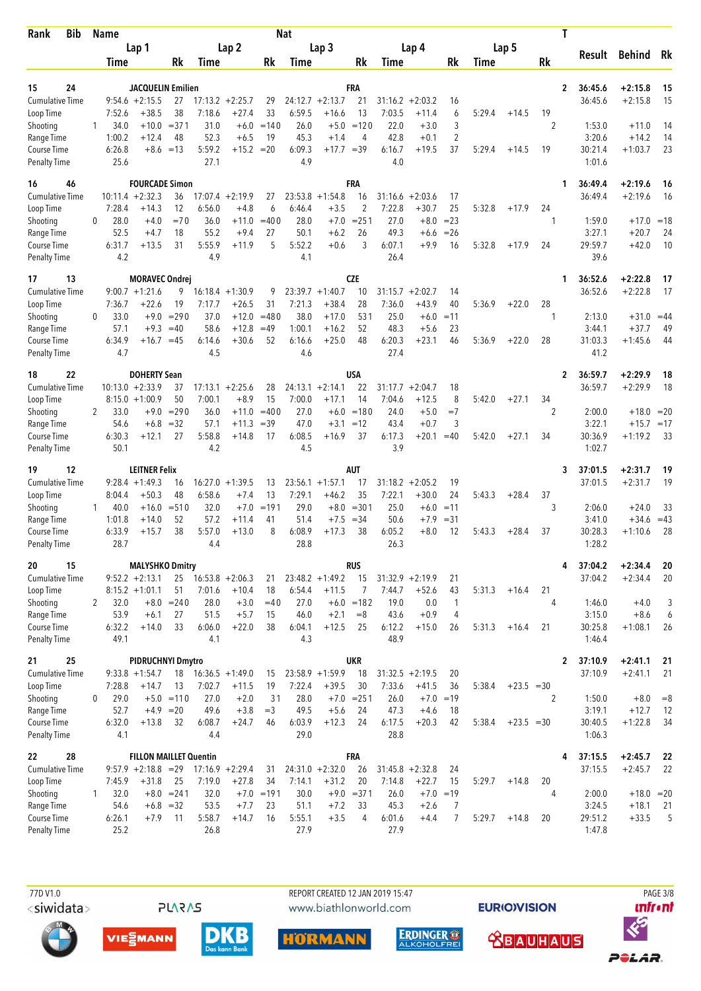| Rank                                | <b>Bib</b> |              | Name           |                                  |                    |                |                               |              | <b>Nat</b>     |                               |                    |                |                               |                   |        |              |         | Τ            |         |              |       |
|-------------------------------------|------------|--------------|----------------|----------------------------------|--------------------|----------------|-------------------------------|--------------|----------------|-------------------------------|--------------------|----------------|-------------------------------|-------------------|--------|--------------|---------|--------------|---------|--------------|-------|
|                                     |            |              |                | Lap 1                            |                    |                | Lap <sub>2</sub>              |              |                | Lap <sub>3</sub>              |                    |                | Lap 4                         |                   |        | Lap 5        |         |              | Result  | Behind Rk    |       |
|                                     |            |              | Time           |                                  | Rk                 | Time           |                               | Rk           | Time           |                               | Rk                 | Time           |                               | Rk                | Time   |              | Rk      |              |         |              |       |
| 15                                  | 24         |              |                | <b>JACQUELIN Emilien</b>         |                    |                |                               |              |                |                               | FRA                |                |                               |                   |        |              |         | $\mathbf{2}$ | 36:45.6 | $+2:15.8$    | 15    |
| <b>Cumulative Time</b>              |            |              |                | $9:54.6 + 2:15.5$                | 27                 |                | $17:13.2 + 2:25.7$            | 29           |                | $24:12.7 + 2:13.7$            | 21                 |                | $31:16.2 + 2:03.2$            | 16                |        |              |         |              | 36:45.6 | $+2:15.8$    | 15    |
| Loop Time                           |            | 1            | 7:52.6<br>34.0 | $+38.5$<br>$+10.0$               | 38<br>$= 371$      | 7:18.6<br>31.0 | $+27.4$<br>$+6.0$             | 33<br>$=140$ | 6:59.5<br>26.0 | $+16.6$                       | 13<br>$+5.0 = 120$ | 7:03.5<br>22.0 | $+11.4$<br>$+3.0$             | 6<br>3            | 5:29.4 | $+14.5$      | 19<br>2 |              | 1:53.0  | $+11.0$      | 14    |
| Shooting<br>Range Time              |            |              | 1:00.2         | $+12.4$                          | 48                 | 52.3           | $+6.5$                        | 19           | 45.3           | $+1.4$                        | 4                  | 42.8           | $+0.1$                        | $\overline{2}$    |        |              |         |              | 3:20.6  | $+14.2$      | 14    |
| Course Time                         |            |              | 6:26.8         | $+8.6 = 13$                      |                    | 5:59.2         | $+15.2$                       | $=20$        | 6:09.3         | $+17.7 = 39$                  |                    | 6:16.7         | $+19.5$                       | 37                | 5:29.4 | $+14.5$      | 19      |              | 30:21.4 | $+1:03.7$    | 23    |
| <b>Penalty Time</b>                 |            |              | 25.6           |                                  |                    | 27.1           |                               |              | 4.9            |                               |                    | 4.0            |                               |                   |        |              |         |              | 1:01.6  |              |       |
| 16                                  | 46         |              |                | <b>FOURCADE Simon</b>            |                    |                |                               |              |                |                               | FRA                |                |                               |                   |        |              |         | 1            | 36:49.4 | $+2:19.6$    | -16   |
| <b>Cumulative Time</b>              |            |              |                | $10:11.4 + 2:32.3$               | 36                 |                | $17:07.4 +2:19.9$             | 27           | 23:53.8        | $+1:54.8$                     | 16                 | 31:16.6        | $+2:03.6$                     | 17                |        |              |         |              | 36:49.4 | $+2:19.6$    | -16   |
| Loop Time<br>Shooting               |            | 0            | 7:28.4<br>28.0 | $+14.3$<br>$+4.0$                | 12<br>$=70$        | 6:56.0<br>36.0 | $+4.8$<br>$+11.0$             | 6<br>$=400$  | 6:46.4<br>28.0 | $+3.5$<br>$+7.0$              | 2<br>$= 251$       | 7:22.8<br>27.0 | $+30.7$<br>$+8.0$             | 25<br>$= 23$      | 5:32.8 | $+17.9$      | 24<br>1 |              | 1:59.0  | $+17.0$      | $=18$ |
| Range Time                          |            |              | 52.5           | $+4.7$                           | 18                 | 55.2           | $+9.4$                        | 27           | 50.1           | $+6.2$                        | 26                 | 49.3           | $+6.6$                        | $= 26$            |        |              |         |              | 3:27.1  | $+20.7$      | 24    |
| Course Time                         |            |              | 6:31.7         | $+13.5$                          | 31                 | 5:55.9         | $+11.9$                       | 5            | 5:52.2         | $+0.6$                        | 3                  | 6:07.1         | $+9.9$                        | 16                | 5:32.8 | $+17.9$      | 24      |              | 29:59.7 | $+42.0$      | 10    |
| <b>Penalty Time</b>                 |            |              | 4.2            |                                  |                    | 4.9            |                               |              | 4.1            |                               |                    | 26.4           |                               |                   |        |              |         |              | 39.6    |              |       |
| 17                                  | 13         |              |                | <b>MORAVEC Ondrei</b>            |                    |                |                               |              |                |                               | <b>CZE</b>         |                |                               |                   |        |              |         | 1            | 36:52.6 | $+2:22.8$    | 17    |
| <b>Cumulative Time</b>              |            |              |                | $9:00.7 + 1:21.6$                | 9                  |                | $16:18.4 + 1:30.9$            | 9            |                | $23:39.7 +1:40.7$             | 10                 | 31:15.7        | $+2:02.7$                     | 14                |        |              |         |              | 36:52.6 | $+2:22.8$    | 17    |
| Loop Time                           |            | 0            | 7:36.7<br>33.0 | $+22.6$<br>$+9.0$                | 19<br>$= 290$      | 7:17.7<br>37.0 | $+26.5$<br>$+12.0$            | 31<br>$=480$ | 7:21.3<br>38.0 | $+38.4$<br>$+17.0$            | 28<br>531          | 7:36.0<br>25.0 | $+43.9$<br>$+6.0$             | 40<br>$=11$       | 5:36.9 | $+22.0$      | 28<br>1 |              | 2:13.0  | $+31.0$      | $=44$ |
| Shooting<br>Range Time              |            |              | 57.1           | $+9.3$                           | $=40$              | 58.6           | $+12.8$                       | $=49$        | 1:00.1         | $+16.2$                       | 52                 | 48.3           | $+5.6$                        | 23                |        |              |         |              | 3:44.1  | $+37.7$      | 49    |
| Course Time                         |            |              | 6:34.9         | $+16.7$                          | $=45$              | 6:14.6         | $+30.6$                       | 52           | 6:16.6         | $+25.0$                       | 48                 | 6:20.3         | $+23.1$                       | 46                | 5:36.9 | $+22.0$      | 28      |              | 31:03.3 | $+1:45.6$    | 44    |
| Penalty Time                        |            |              | 4.7            |                                  |                    | 4.5            |                               |              | 4.6            |                               |                    | 27.4           |                               |                   |        |              |         |              | 41.2    |              |       |
| 18                                  | 22         |              |                | <b>DOHERTY Sean</b>              |                    |                |                               |              |                |                               | <b>USA</b>         |                |                               |                   |        |              |         | 2            | 36:59.7 | $+2:29.9$    | 18    |
| <b>Cumulative Time</b>              |            |              |                | $10:13.0 + 2:33.9$               | 37                 |                | $17:13.1 + 2:25.6$            | 28           |                | $24:13.1 + 2:14.1$            | 22                 |                | $31:17.7 + 2:04.7$            | 18                |        |              |         |              | 36:59.7 | $+2:29.9$    | 18    |
| Loop Time<br>Shooting               |            | 2            | 33.0           | $8:15.0 + 1:00.9$<br>$+9.0$      | 50<br>$= 290$      | 7:00.1<br>36.0 | $+8.9$<br>$+11.0$             | 15<br>$=400$ | 7:00.0<br>27.0 | $+17.1$                       | 14<br>$+6.0 = 180$ | 7:04.6<br>24.0 | $+12.5$<br>$+5.0$             | 8<br>$=7$         | 5:42.0 | $+27.1$      | 34<br>2 |              | 2:00.0  | $+18.0 = 20$ |       |
| Range Time                          |            |              | 54.6           | $+6.8$                           | $=32$              | 57.1           | $+11.3$                       | $=39$        | 47.0           | $+3.1$                        | $=12$              | 43.4           | $+0.7$                        | 3                 |        |              |         |              | 3:22.1  | $+15.7 = 17$ |       |
| <b>Course Time</b>                  |            |              | 6:30.3         | $+12.1$                          | 27                 | 5:58.8         | $+14.8$                       | 17           | 6:08.5         | $+16.9$                       | 37                 | 6:17.3         | $+20.1$                       | $=40$             | 5:42.0 | $+27.1$      | 34      |              | 30:36.9 | $+1:19.2$    | 33    |
| Penalty Time                        |            |              | 50.1           |                                  |                    | 4.2            |                               |              | 4.5            |                               |                    | 3.9            |                               |                   |        |              |         |              | 1:02.7  |              |       |
| 19                                  | 12         |              |                | <b>LEITNER Felix</b>             |                    |                |                               |              |                |                               | <b>AUT</b>         |                |                               |                   |        |              |         | 3            | 37:01.5 | $+2:31.7$    | 19    |
| <b>Cumulative Time</b>              |            |              |                | $9:28.4 +1:49.3$                 | 16                 |                | $16:27.0 + 1:39.5$            | 13           |                | $23:56.1 + 1:57.1$            | 17                 |                | $31:18.2 + 2:05.2$            | 19                |        |              |         |              | 37:01.5 | $+2:31.7$    | 19    |
| Loop Time<br>Shooting               |            | $\mathbf{1}$ | 8:04.4<br>40.0 | $+50.3$<br>$+16.0$               | 48<br>$= 510$      | 6:58.6<br>32.0 | $+7.4$<br>$+7.0$              | 13<br>$=191$ | 7:29.1<br>29.0 | $+46.2$                       | 35<br>$+8.0 = 301$ | 7:22.1<br>25.0 | $+30.0$<br>$+6.0$             | 24<br>$=11$       | 5:43.3 | $+28.4$      | 37<br>3 |              | 2:06.0  | $+24.0$      | 33    |
| Range Time                          |            |              | 1:01.8         | $+14.0$                          | 52                 | 57.2           | $+11.4$                       | 41           | 51.4           | $+7.5$                        | $=34$              | 50.6           | $+7.9$                        | $= 31$            |        |              |         |              | 3:41.0  | $+34.6$      | $=43$ |
| Course Time                         |            |              | 6:33.9         | $+15.7$                          | 38                 | 5:57.0         | $+13.0$                       | 8            | 6:08.9         | $+17.3$                       | 38                 | 6:05.2         | $+8.0$                        | 12                | 5:43.3 | $+28.4$      | 37      |              | 30:28.3 | $+1:10.6$    | 28    |
| Penalty Time                        |            |              | 28.7           |                                  |                    | 4.4            |                               |              | 28.8           |                               |                    | 26.3           |                               |                   |        |              |         |              | 1:28.2  |              |       |
| 20                                  | 15         |              |                | <b>MALYSHKO Dmitry</b>           |                    |                |                               |              |                |                               | <b>RUS</b>         |                |                               |                   |        |              |         | 4            | 37:04.2 | $+2:34.4$    | 20    |
| Cumulative Time                     |            |              |                | $9:52.2 +2:13.1$                 | 25                 | 7:01.6         | $16:53.8 + 2:06.3$            | 21<br>18     |                | $23:48.2 + 1:49.2$            | 15                 | 7:44.7         | $31:32.9 +2:19.9$<br>$+52.6$  | 21                |        |              |         |              | 37:04.2 | $+2:34.4$    | 20    |
| Loop Time<br>Shooting               |            | $\mathbf{2}$ | 32.0           | $8:15.2 + 1:01.1$                | 51<br>$+8.0 = 240$ | 28.0           | $+10.4$<br>$+3.0$             | $=40$        | 6:54.4<br>27.0 | $+11.5$                       | 7<br>$+6.0 = 182$  | 19.0           | 0.0                           | 43<br>1           | 5:31.3 | $+16.4$      | 21<br>4 |              | 1:46.0  | $+4.0$       | 3     |
| Range Time                          |            |              | 53.9           | $+6.1$                           | 27                 | 51.5           | $+5.7$                        | 15           | 46.0           | $+2.1$                        | $=8$               | 43.6           | $+0.9$                        | 4                 |        |              |         |              | 3:15.0  | $+8.6$       | 6     |
| Course Time                         |            |              | 6:32.2         | $+14.0$                          | 33                 | 6:06.0         | $+22.0$                       | 38           | 6:04.1         | $+12.5$                       | 25                 | 6:12.2         | $+15.0$                       | 26                | 5:31.3 | $+16.4$      | 21      |              | 30:25.8 | $+1:08.1$    | 26    |
| <b>Penalty Time</b>                 |            |              | 49.1           |                                  |                    | 4.1            |                               |              | 4.3            |                               |                    | 48.9           |                               |                   |        |              |         |              | 1:46.4  |              |       |
| 21                                  | 25         |              |                | <b>PIDRUCHNYI Dmytro</b>         |                    |                |                               |              |                |                               | <b>UKR</b>         |                |                               |                   |        |              |         | $\mathbf{2}$ | 37:10.9 | $+2:41.1$    | 21    |
| <b>Cumulative Time</b><br>Loop Time |            |              | 7:28.8         | $9:33.8 +1:54.7$<br>$+14.7$      | 18<br>13           | 7:02.7         | $16:36.5 +1:49.0$<br>$+11.5$  | 15<br>19     | 7:22.4         | $23:58.9 + 1:59.9$<br>$+39.5$ | 18<br>30           | 7:33.6         | $31:32.5 +2:19.5$<br>$+41.5$  | 20<br>36          | 5:38.4 | $+23.5 = 30$ |         |              | 37:10.9 | $+2:41.1$    | 21    |
| Shooting                            |            | 0            | 29.0           |                                  | $+5.0 = 110$       | 27.0           | $+2.0$                        | 31           | 28.0           |                               | $+7.0 = 251$       | 26.0           |                               | $+7.0 = 19$       |        |              | 2       |              | 1:50.0  | $+8.0$       | $= 8$ |
| Range Time                          |            |              | 52.7           | $+4.9 = 20$                      |                    | 49.6           | $+3.8$                        | $=3$         | 49.5           | $+5.6$                        | 24                 | 47.3           | $+4.6$                        | 18                |        |              |         |              | 3:19.1  | $+12.7$      | 12    |
| Course Time                         |            |              | 6:32.0         | $+13.8$                          | 32                 | 6:08.7         | $+24.7$                       | 46           | 6:03.9         | $+12.3$                       | 24                 | 6:17.5         | $+20.3$                       | 42                | 5:38.4 | $+23.5 = 30$ |         |              | 30:40.5 | $+1:22.8$    | 34    |
| <b>Penalty Time</b>                 |            |              | 4.1            |                                  |                    | 4.4            |                               |              | 29.0           |                               |                    | 28.8           |                               |                   |        |              |         |              | 1:06.3  |              |       |
| 22                                  | 28         |              |                | <b>FILLON MAILLET Quentin</b>    |                    |                |                               |              |                |                               | <b>FRA</b>         |                |                               |                   |        |              |         | 4            | 37:15.5 | $+2:45.7$    | 22    |
| <b>Cumulative Time</b>              |            |              | 7:45.9         | $9:57.9 +2:18.8 = 29$<br>$+31.8$ |                    | 7:19.0         | $17:16.9 + 2:29.4$<br>$+27.8$ | 31<br>34     | 7:14.1         | $24:31.0 + 2:32.0$<br>$+31.2$ | 26<br>20           | 7:14.8         | $31:45.8 + 2:32.8$<br>$+22.7$ | 24                | 5:29.7 |              |         |              | 37:15.5 | $+2:45.7$    | 22    |
| Loop Time<br>Shooting               |            | $\mathbf{1}$ | 32.0           |                                  | 25<br>$+8.0 = 241$ | 32.0           |                               | $+7.0 = 191$ | 30.0           |                               | $+9.0 = 371$       | 26.0           |                               | 15<br>$+7.0 = 19$ |        | $+14.8$      | 20<br>4 |              | 2:00.0  | $+18.0 = 20$ |       |
| Range Time                          |            |              | 54.6           |                                  | $+6.8 = 32$        | 53.5           | $+7.7$                        | 23           | 51.1           | $+7.2$                        | 33                 | 45.3           | $+2.6$                        | 7                 |        |              |         |              | 3:24.5  | $+18.1$      | -21   |
| Course Time                         |            |              | 6:26.1         | $+7.9$                           | 11                 | 5:58.7         | $+14.7$                       | 16           | 5:55.1         | $+3.5$                        | 4                  | 6:01.6         | $+4.4$                        | 7                 | 5:29.7 | $+14.8$      | 20      |              | 29:51.2 | $+33.5$      | 5     |
| <b>Penalty Time</b>                 |            |              | 25.2           |                                  |                    | 26.8           |                               |              | 27.9           |                               |                    | 27.9           |                               |                   |        |              |         |              | 1:47.8  |              |       |







**PLARAS** 





**HORMANN** 



**EURIOVISION** 

**<u> XBAUHAUS</u>** 



POLAR.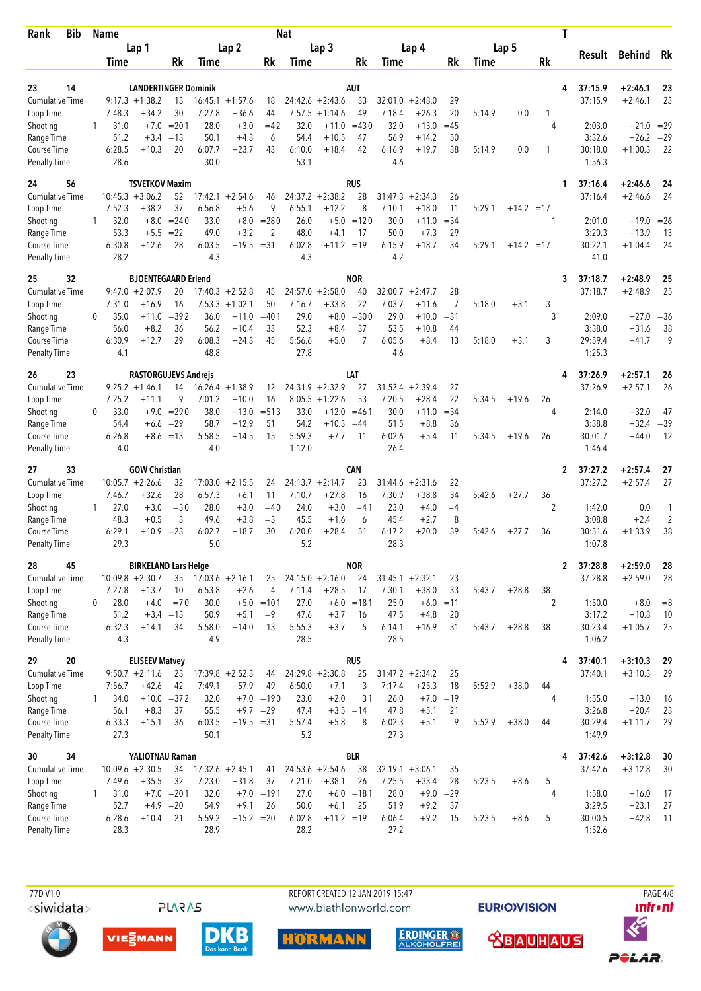| Bib<br>Rank                         | Name         |                |                                       |                  |                |                               |               | <b>Nat</b>     |                               |                  |                |                               |                |        |              | Τ            |                    |                        |             |
|-------------------------------------|--------------|----------------|---------------------------------------|------------------|----------------|-------------------------------|---------------|----------------|-------------------------------|------------------|----------------|-------------------------------|----------------|--------|--------------|--------------|--------------------|------------------------|-------------|
|                                     |              |                | Lap 1                                 |                  |                | Lap <sub>2</sub>              |               |                | Lap <sub>3</sub>              |                  |                | Lap 4                         |                |        | Lap 5        |              | Result             | Behind Rk              |             |
|                                     |              | Time           |                                       | Rk               | Time           |                               | Rk            | Time           |                               | Rk               | Time           |                               | Rk             | Time   |              | Rk           |                    |                        |             |
| 14<br>23                            |              |                | <b>LANDERTINGER Dominik</b>           |                  |                |                               |               |                |                               | AUT              |                |                               |                |        |              | 4            | 37:15.9            | $+2:46.1$              | 23          |
| <b>Cumulative Time</b>              |              |                | $9:17.3 + 1:38.2$                     | 13               | 16:45.1        | $+1:57.6$                     | 18            |                | $24:42.6 + 2:43.6$            | 33               | 32:01.0        | $+2:48.0$                     | 29             |        |              |              | 37:15.9            | $+2:46.1$              | 23          |
| Loop Time                           |              | 7:48.3         | $+34.2$                               | 30               | 7:27.8         | $+36.6$                       | 44            | 7:57.5         | $+1:14.6$                     | 49               | 7:18.4         | $+26.3$                       | 20             | 5:14.9 | 0.0          | 1            |                    |                        |             |
| Shooting                            | 1            | 31.0           | $+7.0$                                | $= 201$          | 28.0           | $+3.0$                        | $=42$         | 32.0           | $+11.0$                       | $=430$           | 32.0           | $+13.0$                       | $=45$          |        |              | 4            | 2:03.0             | $+21.0 = 29$           |             |
| Range Time<br>Course Time           |              | 51.2<br>6:28.5 | $+3.4$<br>$+10.3$                     | $=13$<br>20      | 50.1<br>6:07.7 | $+4.3$<br>$+23.7$             | 6<br>43       | 54.4<br>6:10.0 | $+10.5$<br>$+18.4$            | 47<br>42         | 56.9<br>6:16.9 | $+14.2$<br>$+19.7$            | 50<br>38       | 5:14.9 | 0.0          | 1            | 3:32.6<br>30:18.0  | $+26.2$<br>$+1:00.3$   | $=29$<br>22 |
| <b>Penalty Time</b>                 |              | 28.6           |                                       |                  | 30.0           |                               |               | 53.1           |                               |                  | 4.6            |                               |                |        |              |              | 1:56.3             |                        |             |
| 24<br>56                            |              |                | <b>TSVETKOV Maxim</b>                 |                  |                |                               |               |                |                               | <b>RUS</b>       |                |                               |                |        |              | 1            | 37:16.4            | $+2:46.6$              | 24          |
| <b>Cumulative Time</b>              |              |                | $10:45.3 + 3:06.2$                    | 52               |                | $17:42.1 + 2:54.6$            | 46            |                | $24:37.2 +2:38.2$             | 28               | 31:47.3        | $+2:34.3$                     | 26             |        |              |              | 37:16.4            | $+2:46.6$              | 24          |
| Loop Time                           |              | 7:52.3         | $+38.2$                               | 37               | 6:56.8         | $+5.6$                        | 9             | 6:55.1         | $+12.2$                       | 8                | 7:10.1         | $+18.0$                       | 11             | 5:29.1 | $+14.2 = 17$ |              |                    |                        |             |
| Shooting                            | 1            | 32.0           | $+8.0$                                | $= 240$          | 33.0           | $+8.0$                        | $= 280$       | 26.0           | $+5.0$                        | $=120$           | 30.0           | $+11.0$                       | $=34$          |        |              | 1            | 2:01.0             | $+19.0$                | $=26$       |
| Range Time<br>Course Time           |              | 53.3<br>6:30.8 | $+5.5$<br>$+12.6$                     | $=22$<br>28      | 49.0<br>6:03.5 | $+3.2$<br>$+19.5 = 31$        | 2             | 48.0<br>6:02.8 | $+4.1$<br>$+11.2 = 19$        | 17               | 50.0<br>6:15.9 | $+7.3$<br>$+18.7$             | 29<br>34       | 5:29.1 | $+14.2 = 17$ |              | 3:20.3<br>30:22.1  | $+13.9$<br>$+1:04.4$   | 13<br>24    |
| <b>Penalty Time</b>                 |              | 28.2           |                                       |                  | 4.3            |                               |               | 4.3            |                               |                  | 4.2            |                               |                |        |              |              | 41.0               |                        |             |
| 32<br>25                            |              |                | <b>BJOENTEGAARD Erlend</b>            |                  |                |                               |               |                |                               | <b>NOR</b>       |                |                               |                |        |              | 3            | 37:18.7            | $+2:48.9$              | 25          |
| <b>Cumulative Time</b>              |              |                | $9:47.0 + 2:07.9$                     | 20               |                | $17:40.3 + 2:52.8$            | 45            |                | $24:57.0 + 2:58.0$            | 40               | 32:00.7        | $+2:47.7$                     | 28             |        |              |              | 37:18.7            | $+2:48.9$              | 25          |
| Loop Time                           |              | 7:31.0         | $+16.9$                               | 16               | 7:53.3         | $+1:02.1$                     | 50            | 7:16.7         | $+33.8$                       | 22               | 7:03.7         | $+11.6$                       | $\overline{7}$ | 5:18.0 | $+3.1$       | 3            |                    |                        |             |
| Shooting                            | 0            | 35.0           | $+11.0$                               | $= 392$<br>36    | 36.0           | $+11.0$                       | $=401$<br>33  | 29.0           | $+8.0$                        | $= 300$<br>37    | 29.0<br>53.5   | $+10.0$                       | $= 31$         |        |              | 3            | 2:09.0             | $+27.0$                | $=36$       |
| Range Time<br>Course Time           |              | 56.0<br>6:30.9 | $+8.2$<br>$+12.7$                     | 29               | 56.2<br>6:08.3 | $+10.4$<br>$+24.3$            | 45            | 52.3<br>5:56.6 | $+8.4$<br>$+5.0$              | 7                | 6:05.6         | $+10.8$<br>$+8.4$             | 44<br>13       | 5:18.0 | $+3.1$       | 3            | 3:38.0<br>29:59.4  | $+31.6$<br>$+41.7$     | 38<br>9     |
| <b>Penalty Time</b>                 |              | 4.1            |                                       |                  | 48.8           |                               |               | 27.8           |                               |                  | 4.6            |                               |                |        |              |              | 1:25.3             |                        |             |
| 26<br>23                            |              |                | <b>RASTORGUJEVS Andrejs</b>           |                  |                |                               |               |                |                               | LAT              |                |                               |                |        |              | 4            | 37:26.9            | $+2:57.1$              | 26          |
| <b>Cumulative Time</b>              |              |                | $9:25.2 +1:46.1$                      | 14               |                | $16:26.4 + 1:38.9$            | 12            |                | $24:31.9 +2:32.9$             | 27               |                | $31:52.4 +2:39.4$             | 27             |        |              |              | 37:26.9            | $+2:57.1$              | 26          |
| Loop Time                           |              | 7:25.2         | $+11.1$                               | 9                | 7:01.2         | $+10.0$                       | 16            |                | $8:05.5 +1:22.6$              | 53               | 7:20.5         | $+28.4$                       | 22             | 5:34.5 | $+19.6$      | 26           |                    |                        |             |
| Shooting<br>Range Time              | 0            | 33.0<br>54.4   | $+9.0$<br>$+6.6$                      | $= 290$<br>$=29$ | 38.0<br>58.7   | $+13.0$<br>$+12.9$            | $= 513$<br>51 | 33.0<br>54.2   | $+12.0$<br>$+10.3$            | $= 461$<br>$=44$ | 30.0<br>51.5   | $+11.0$<br>$+8.8$             | $=34$<br>36    |        |              | 4            | 2:14.0<br>3:38.8   | $+32.0$<br>$+32.4$     | 47<br>$=39$ |
| <b>Course Time</b>                  |              | 6:26.8         | $+8.6 = 13$                           |                  | 5:58.5         | $+14.5$                       | 15            | 5:59.3         | $+7.7$                        | 11               | 6:02.6         | $+5.4$                        | 11             | 5:34.5 | $+19.6$      | 26           | 30:01.7            | $+44.0$                | 12          |
| <b>Penalty Time</b>                 |              | 4.0            |                                       |                  | 4.0            |                               |               | 1:12.0         |                               |                  | 26.4           |                               |                |        |              |              | 1:46.4             |                        |             |
| 33<br>27                            |              |                | <b>GOW Christian</b>                  |                  |                |                               |               |                |                               | CAN              |                |                               |                |        |              | $\mathbf{2}$ | 37:27.2            | $+2:57.4$              | 27          |
| <b>Cumulative Time</b>              |              |                | $10:05.7 + 2:26.6$                    | 32<br>28         |                | $17:03.0 +2:15.5$             | 24<br>11      |                | $24:13.7 + 2:14.7$            | 23               | 31:44.6        | $+2:31.6$                     | 22             |        |              |              | 37:27.2            | $+2:57.4$              | 27          |
| Loop Time<br>Shooting               | 1            | 7:46.7<br>27.0 | $+32.6$<br>$+3.0$                     | $= 30$           | 6:57.3<br>28.0 | $+6.1$<br>$+3.0$              | $=40$         | 7:10.7<br>24.0 | $+27.8$<br>$+3.0$             | 16<br>$=41$      | 7:30.9<br>23.0 | $+38.8$<br>$+4.0$             | 34<br>$=4$     | 5:42.6 | $+27.7$      | 36<br>2      | 1:42.0             | 0.0                    | 1           |
| Range Time                          |              | 48.3           | $+0.5$                                | 3                | 49.6           | $+3.8$                        | $=$ 3         | 45.5           | $+1.6$                        | 6                | 45.4           | $+2.7$                        | 8              |        |              |              | 3:08.8             | $+2.4$                 | 2           |
| Course Time                         |              | 6:29.1         | $+10.9$                               | $= 23$           | 6:02.7         | $+18.7$                       | 30            | 6:20.0         | $+28.4$                       | 51               | 6:17.2         | $+20.0$                       | 39             | 5:42.6 | $+27.7$      | 36           | 30:51.6            | $+1:33.9$              | 38          |
| <b>Penalty Time</b>                 |              | 29.3           |                                       |                  | 5.0            |                               |               | 5.2            |                               |                  | 28.3           |                               |                |        |              |              | 1:07.8             |                        |             |
| 45<br>28                            |              |                | <b>BIRKELAND Lars Helge</b>           |                  |                |                               |               |                |                               | <b>NOR</b>       |                |                               |                |        |              | $\mathbf{2}$ | 37:28.8            | $+2:59.0$              | 28          |
| <b>Cumulative Time</b><br>Loop Time |              | 7:27.8         | $10:09.8 + 2:30.7$<br>$+13.7$         | 35<br>10         | 6:53.8         | $17:03.6 +2:16.1$<br>$+2.6$   | 25<br>4       | 7:11.4         | $24:15.0 + 2:16.0$<br>$+28.5$ | 24<br>17         | 7:30.1         | $31:45.1 + 2:32.1$<br>$+38.0$ | 23<br>33       | 5:43.7 | $+28.8$      | 38           | 37:28.8            | $+2:59.0$              | 28          |
| Shooting                            | 0            | 28.0           | $+4.0$                                | $=70$            | 30.0           |                               | $+5.0 = 101$  | 27.0           |                               | $+6.0 = 181$     | 25.0           | $+6.0$                        | $=11$          |        |              | 2            | 1:50.0             | $+8.0$                 | $= 8$       |
| Range Time                          |              | 51.2           | $+3.4 = 13$                           |                  | 50.9           | $+5.1$                        | $=9$          | 47.6           | $+3.7$                        | 16               | 47.5           | $+4.8$                        | 20             |        |              |              | 3:17.2             | $+10.8$                | 10          |
| Course Time                         |              | 6:32.3         | $+14.1$                               | 34               | 5:58.0         | $+14.0$                       | 13            | 5:55.3         | $+3.7$                        | 5                | 6:14.1         | $+16.9$                       | 31             | 5:43.7 | $+28.8$      | 38           | 30:23.4            | $+1:05.7$              | 25          |
| Penalty Time                        |              | 4.3            |                                       |                  | 4.9            |                               |               | 28.5           |                               |                  | 28.5           |                               |                |        |              |              | 1:06.2             |                        |             |
| 20<br>29                            |              |                | <b>ELISEEV Matvey</b>                 |                  |                |                               |               |                |                               | <b>RUS</b>       |                |                               |                |        |              | 4            | 37:40.1            | $+3:10.3$              | 29          |
| <b>Cumulative Time</b><br>Loop Time |              | 7:56.7         | $9:50.7 +2:11.6$<br>$+42.6$           | 23<br>42         | 7:49.1         | $17:39.8 + 2:52.3$<br>$+57.9$ | 44<br>49      | 6:50.0         | $24:29.8 + 2:30.8$<br>$+7.1$  | 25<br>3          | 7:17.4         | $31:47.2 +2:34.2$<br>$+25.3$  | 25<br>18       | 5:52.9 | $+38.0$      | 44           | 37:40.1            | $+3:10.3$              | 29          |
| Shooting                            | $\mathbf{1}$ | 34.0           |                                       | $+10.0 = 372$    | 32.0           |                               | $+7.0 = 190$  | 23.0           | $+2.0$                        | 31               | 26.0           | $+7.0 = 19$                   |                |        |              | 4            | 1:55.0             | $+13.0$                | 16          |
| Range Time                          |              | 56.1           | $+8.3$                                | 37               | 55.5           |                               | $+9.7 = 29$   | 47.4           | $+3.5 = 14$                   |                  | 47.8           | $+5.1$                        | 21             |        |              |              | 3:26.8             | $+20.4$                | 23          |
| Course Time                         |              | 6:33.3         | $+15.1$                               | 36               | 6:03.5         | $+19.5 = 31$                  |               | 5:57.4         | $+5.8$                        | 8                | 6:02.3         | $+5.1$                        | 9              | 5:52.9 | $+38.0$      | 44           | 30:29.4            | $+1:11.7$              | 29          |
| <b>Penalty Time</b>                 |              | 27.3           |                                       |                  | 50.1           |                               |               | 5.2            |                               |                  | 27.3           |                               |                |        |              |              | 1:49.9             |                        |             |
| 34<br>30<br><b>Cumulative Time</b>  |              |                | YALIOTNAU Raman<br>$10:09.6 + 2:30.5$ |                  |                | $17:32.6 +2:45.1$             |               |                | $24:53.6 + 2:54.6$            | <b>BLR</b><br>38 |                | $32:19.1 + 3:06.1$            |                |        |              | 4            | 37:42.6<br>37:42.6 | $+3:12.8$<br>$+3:12.8$ | 30          |
| Loop Time                           |              | 7:49.6         | $+35.5$                               | 34<br>32         | 7:23.0         | $+31.8$                       | 41<br>37      | 7:21.0         | $+38.1$                       | 26               | 7:25.5         | $+33.4$                       | 35<br>28       | 5:23.5 | $+8.6$       | 5            |                    |                        | 30          |
| Shooting                            | 1            | 31.0           |                                       | $+7.0 = 201$     | 32.0           |                               | $+7.0 = 191$  | 27.0           |                               | $+6.0 = 181$     | 28.0           |                               | $+9.0 = 29$    |        |              | 4            | 1:58.0             | $+16.0$                | 17          |
| Range Time                          |              | 52.7           | $+4.9$ = 20                           |                  | 54.9           | $+9.1$                        | 26            | 50.0           | $+6.1$                        | 25               | 51.9           | $+9.2$                        | 37             |        |              |              | 3:29.5             | $+23.1$                | 27          |
| Course Time                         |              | 6:28.6         | $+10.4$                               | 21               | 5:59.2         | $+15.2 = 20$                  |               | 6:02.8         | $+11.2 = 19$                  |                  | 6:06.4         | $+9.2$                        | 15             | 5:23.5 | $+8.6$       | 5            | 30:00.5            | $+42.8$                | -11         |
| <b>Penalty Time</b>                 |              | 28.3           |                                       |                  | 28.9           |                               |               | 28.2           |                               |                  | 27.2           |                               |                |        |              |              | 1:52.6             |                        |             |



PAGE 4/8 REPORT CREATED 12 JAN 2019 15:47 www.biathlonworld.com









**PLARAS** 

**DKB** 





*<u><u>Infront</u>*</u>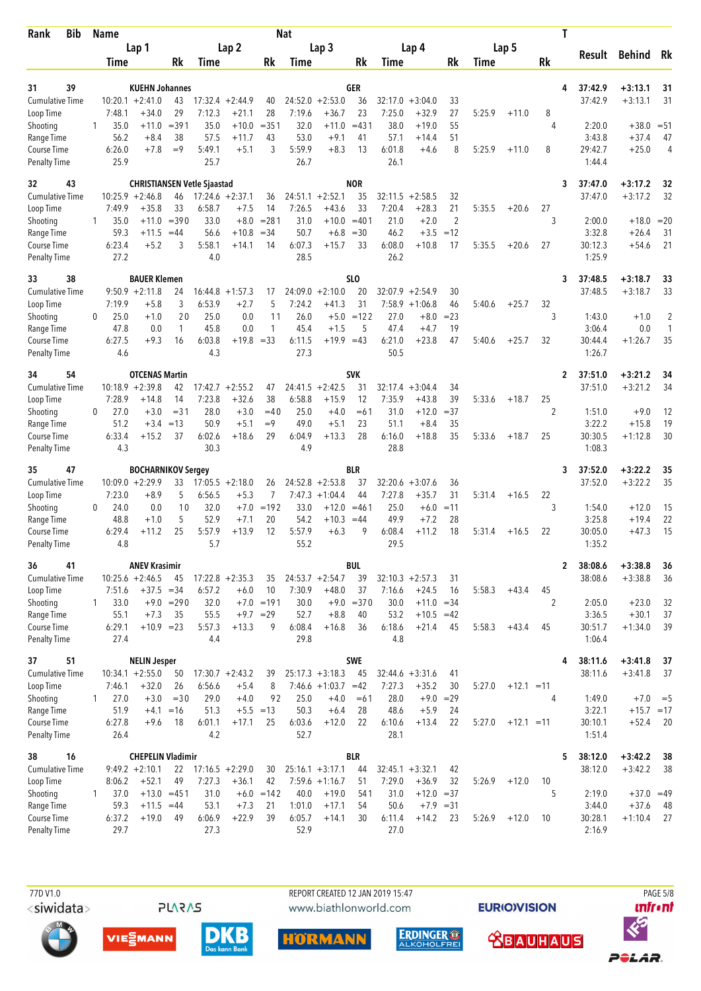| Bib<br>Rank                         |              | Name                         |                                              |               |                   |                              |               | <b>Nat</b>        |                                             |                  |                   |                               |                      |        |              |                      | Τ                       |                        |                      |
|-------------------------------------|--------------|------------------------------|----------------------------------------------|---------------|-------------------|------------------------------|---------------|-------------------|---------------------------------------------|------------------|-------------------|-------------------------------|----------------------|--------|--------------|----------------------|-------------------------|------------------------|----------------------|
|                                     |              |                              | Lap 1                                        |               |                   | Lap <sub>2</sub>             |               |                   | Lap <sub>3</sub>                            |                  |                   | Lap 4                         |                      |        | Lap 5        |                      | Result                  | <b>Behind</b>          | Rk                   |
|                                     |              | Time                         |                                              | Rk            | Time              |                              | Rk            | Time              |                                             | Rk               | Time              |                               | Rk                   | Time   |              | Rk                   |                         |                        |                      |
| 31<br>39                            |              |                              | <b>KUEHN Johannes</b>                        |               |                   |                              |               |                   |                                             | GER              |                   |                               |                      |        |              |                      | 37:42.9<br>4            | $+3:13.1$              | 31                   |
| <b>Cumulative Time</b>              |              | $10:20.1 + 2:41.0$           |                                              | 43            |                   | $17:32.4 +2:44.9$            | 40            |                   | $24:52.0 + 2:53.0$                          | 36               | 32:17.0           | $+3:04.0$                     | 33                   |        |              |                      | 37:42.9                 | $+3:13.1$              | 31                   |
| Loop Time                           |              | 7:48.1                       | $+34.0$                                      | 29            | 7:12.3            | $+21.1$                      | 28            | 7:19.6            | $+36.7$                                     | 23               | 7:25.0            | $+32.9$                       | 27                   | 5:25.9 | $+11.0$      | 8                    |                         |                        |                      |
| Shooting                            | 1            | 35.0                         | $+11.0$                                      | $= 391$       | 35.0              | $+10.0$                      | $= 351$       | 32.0              | $+11.0$                                     | $= 431$          | 38.0              | $+19.0$                       | 55                   |        |              | 4                    | 2:20.0                  | $+38.0$                | $= 51$               |
| Range Time<br>Course Time           |              | 56.2<br>6:26.0               | $+8.4$<br>$+7.8$                             | 38<br>$=9$    | 57.5<br>5:49.1    | +11.7<br>$+5.1$              | 43<br>3       | 53.0<br>5:59.9    | $+9.1$<br>$+8.3$                            | 41<br>13         | 57.1<br>6:01.8    | $+14.4$<br>$+4.6$             | 51<br>8              | 5:25.9 | $+11.0$      | 8                    | 3:43.8<br>29:42.7       | $+37.4$<br>$+25.0$     | 47<br>$\overline{4}$ |
| <b>Penalty Time</b>                 |              | 25.9                         |                                              |               | 25.7              |                              |               | 26.7              |                                             |                  | 26.1              |                               |                      |        |              |                      | 1:44.4                  |                        |                      |
| 43<br>32                            |              |                              | <b>CHRISTIANSEN Vetle Sjaastad</b>           |               |                   |                              |               |                   |                                             | <b>NOR</b>       |                   |                               |                      |        |              |                      | 3<br>37:47.0            | $+3:17.2$              | 32                   |
| <b>Cumulative Time</b>              |              | $10:25.9 + 2:46.8$           |                                              | 46            |                   | $17:24.6 + 2:37.1$           | 36            |                   | $24:51.1 + 2:52.1$                          | 35               | 32:11.5           | $+2:58.5$                     | 32                   |        |              |                      | 37:47.0                 | $+3:17.2$              | 32                   |
| Loop Time<br>Shooting               | 1            | 7:49.9<br>35.0               | $+35.8$<br>$+11.0$                           | 33<br>$= 390$ | 6:58.7<br>33.0    | $+7.5$<br>$+8.0$             | 14<br>$= 281$ | 7:26.5<br>31.0    | $+43.6$<br>$+10.0$                          | 33<br>$=401$     | 7:20.4<br>21.0    | $+28.3$<br>$+2.0$             | 21<br>$\overline{2}$ | 5:35.5 | $+20.6$      | 27<br>3              | 2:00.0                  | $+18.0$                | $= 20$               |
| Range Time                          |              | 59.3                         | $+11.5$                                      | $=44$         | 56.6              | $+10.8$                      | $= 34$        | 50.7              | $+6.8$                                      | $=30$            | 46.2              | $+3.5$                        | $=12$                |        |              |                      | 3:32.8                  | $+26.4$                | 31                   |
| Course Time                         |              | 6:23.4                       | $+5.2$                                       | 3             | 5:58.1            | +14.1                        | 14            | 6:07.3            | $+15.7$                                     | 33               | 6:08.0            | $+10.8$                       | 17                   | 5:35.5 | $+20.6$      | 27                   | 30:12.3                 | $+54.6$                | 21                   |
| <b>Penalty Time</b>                 |              | 27.2                         |                                              |               | 4.0               |                              |               | 28.5              |                                             |                  | 26.2              |                               |                      |        |              |                      | 1:25.9                  |                        |                      |
| 33<br>38                            |              |                              | <b>BAUER Klemen</b>                          |               |                   |                              |               |                   |                                             | SL <sub>0</sub>  |                   |                               |                      |        |              |                      | 37:48.5<br>3            | $+3:18.7$              | 33                   |
| <b>Cumulative Time</b><br>Loop Time |              | 7:19.9                       | $9:50.9 +2:11.8$<br>$+5.8$                   | 24<br>3       | 16:44.8<br>6:53.9 | $+1:57.3$<br>$+2.7$          | 17<br>5       | 24:09.0<br>7:24.2 | $+2:10.0$<br>$+41.3$                        | 20<br>31         | 32:07.9<br>7:58.9 | $+2:54.9$<br>$+1:06.8$        | 30<br>46             | 5:40.6 | $+25.7$      | 32                   | 37:48.5                 | $+3:18.7$              | 33                   |
| Shooting                            | 0            | 25.0                         | $+1.0$                                       | 20            | 25.0              | 0.0                          | 11            | 26.0              |                                             | $+5.0 = 122$     | 27.0              | $+8.0$                        | $= 23$               |        |              | 3                    | 1:43.0                  | $+1.0$                 | 2                    |
| Range Time                          |              | 47.8                         | 0.0                                          | 1             | 45.8              | 0.0                          | 1             | 45.4              | $+1.5$                                      | 5                | 47.4              | $+4.7$                        | 19                   |        |              |                      | 3:06.4                  | 0.0                    | 1                    |
| Course Time                         |              | 6:27.5                       | $+9.3$                                       | 16            | 6:03.8            | $+19.8 = 33$                 |               | 6:11.5            | $+19.9 = 43$                                |                  | 6:21.0            | $+23.8$                       | 47                   | 5:40.6 | $+25.7$      | 32                   | 30:44.4                 | $+1:26.7$              | 35                   |
| Penalty Time                        |              | 4.6                          |                                              |               | 4.3               |                              |               | 27.3              |                                             |                  | 50.5              |                               |                      |        |              |                      | 1:26.7                  |                        |                      |
| 34<br>54                            |              |                              | <b>OTCENAS Martin</b>                        |               |                   |                              |               |                   |                                             | <b>SVK</b>       |                   |                               |                      |        |              |                      | 37:51.0<br>$\mathbf{2}$ | $+3:21.2$              | 34                   |
| <b>Cumulative Time</b>              |              | $10:18.9 + 2:39.8$           |                                              | 42            |                   | $17:42.7 + 2:55.2$           | 47            |                   | $24:41.5 + 2:42.5$                          | 31               | 32:17.4           | $+3:04.4$                     | 34                   |        |              |                      | 37:51.0                 | $+3:21.2$              | 34                   |
| Loop Time<br>Shooting               | 0            | 7:28.9<br>27.0               | $+14.8$<br>$+3.0$                            | 14<br>$= 31$  | 7:23.8<br>28.0    | $+32.6$<br>$+3.0$            | 38<br>$=40$   | 6:58.8<br>25.0    | $+15.9$<br>$+4.0$                           | 12<br>$=61$      | 7:35.9<br>31.0    | $+43.8$<br>$+12.0$            | 39<br>$= 37$         | 5:33.6 | $+18.7$      | 25<br>$\overline{2}$ | 1:51.0                  | $+9.0$                 | 12                   |
| Range Time                          |              | 51.2                         | $+3.4 = 13$                                  |               | 50.9              | $+5.1$                       | $=9$          | 49.0              | $+5.1$                                      | 23               | 51.1              | $+8.4$                        | 35                   |        |              |                      | 3:22.2                  | $+15.8$                | 19                   |
| Course Time                         |              | 6:33.4                       | $+15.2$                                      | 37            | 6:02.6            | $+18.6$                      | 29            | 6:04.9            | $+13.3$                                     | 28               | 6:16.0            | $+18.8$                       | 35                   | 5:33.6 | $+18.7$      | 25                   | 30:30.5                 | $+1:12.8$              | 30                   |
| <b>Penalty Time</b>                 |              | 4.3                          |                                              |               | 30.3              |                              |               | 4.9               |                                             |                  | 28.8              |                               |                      |        |              |                      | 1:08.3                  |                        |                      |
| 47<br>35                            |              |                              | <b>BOCHARNIKOV Sergey</b>                    |               |                   |                              |               |                   |                                             | BLR              |                   |                               |                      |        |              |                      | 37:52.0<br>3            | $+3:22.2$              | 35                   |
| <b>Cumulative Time</b>              |              | $10:09.0 + 2:29.9$<br>7:23.0 | $+8.9$                                       | 33<br>5       | 6:56.5            | $17:05.5 + 2:18.0$<br>$+5.3$ | 26<br>7       | 7:47.3            | $24:52.8 + 2:53.8$<br>$+1:04.4$             | 37<br>44         | 7:27.8            | $32:20.6 + 3:07.6$<br>$+35.7$ | 36<br>31             | 5:31.4 | $+16.5$      | 22                   | 37:52.0                 | $+3:22.2$              | 35                   |
| Loop Time<br>Shooting               | 0            | 24.0                         | 0.0                                          | 10            | 32.0              | $+7.0$                       | $=192$        | 33.0              | $+12.0$                                     | $=461$           | 25.0              | $+6.0$                        | $=11$                |        |              | 3                    | 1:54.0                  | $+12.0$                | 15                   |
| Range Time                          |              | 48.8                         | $+1.0$                                       | 5             | 52.9              | $+7.1$                       | 20            | 54.2              | $+10.3$                                     | $=44$            | 49.9              | $+7.2$                        | 28                   |        |              |                      | 3:25.8                  | $+19.4$                | 22                   |
| Course Time                         |              | 6:29.4                       | $+11.2$                                      | 25            | 5:57.9            | $+13.9$                      | 12            | 5:57.9            | $+6.3$                                      | 9                | 6:08.4            | $+11.2$                       | 18                   | 5:31.4 | $+16.5$      | 22                   | 30:05.0                 | $+47.3$                | 15                   |
| <b>Penalty Time</b>                 |              | 4.8                          |                                              |               | 5.7               |                              |               | 55.2              |                                             |                  | 29.5              |                               |                      |        |              |                      | 1:35.2                  |                        |                      |
| 41<br>36                            |              |                              | <b>ANEV Krasimir</b>                         |               |                   |                              |               |                   |                                             | BUL              |                   |                               |                      |        |              |                      | 38:08.6<br>$\mathbf{2}$ | $+3:38.8$              | 36                   |
| <b>Cumulative Time</b><br>Loop Time |              | $10:25.6 + 2:46.5$<br>7:51.6 | $+37.5 = 34$                                 | 45            | 6:57.2            | $17:22.8 + 2:35.3$<br>$+6.0$ | 35<br>10      | 7:30.9            | $24:53.7 + 2:54.7$<br>$+48.0$               | 39<br>37         | 7:16.6            | $32:10.3 + 2:57.3$<br>$+24.5$ | 31<br>16             | 5:58.3 | $+43.4$      | 45                   | 38:08.6                 | $+3:38.8$              | 36                   |
| Shooting                            | 1            | 33.0                         |                                              | $+9.0 = 290$  | 32.0              |                              | $+7.0 = 191$  | 30.0              |                                             | $+9.0 = 370$     | 30.0              | $+11.0 = 34$                  |                      |        |              | 2                    | 2:05.0                  | $+23.0$                | 32                   |
| Range Time                          |              | 55.1                         | $+7.3$                                       | 35            | 55.5              |                              | $+9.7 = 29$   | 52.7              | $+8.8$                                      | 40               | 53.2              | $+10.5 = 42$                  |                      |        |              |                      | 3:36.5                  | $+30.1$                | 37                   |
| Course Time                         |              | 6:29.1                       | $+10.9 = 23$                                 |               | 5:57.3            | $+13.3$                      | 9             | 6:08.4            | $+16.8$                                     | 36               | 6:18.6            | $+21.4$                       | 45                   | 5:58.3 | $+43.4$      | 45                   | 30:51.7                 | $+1:34.0$              | 39                   |
| <b>Penalty Time</b>                 |              | 27.4                         |                                              |               | 4.4               |                              |               | 29.8              |                                             |                  | 4.8               |                               |                      |        |              |                      | 1:06.4                  |                        |                      |
| 51<br>37                            |              |                              | <b>NELIN Jesper</b>                          |               |                   |                              |               |                   |                                             | SWE              |                   |                               |                      |        |              |                      | 38:11.6<br>4            | $+3:41.8$              | 37                   |
| <b>Cumulative Time</b><br>Loop Time |              | $10:34.1 + 2:55.0$<br>7:46.1 | $+32.0$                                      | 50<br>26      | 6:56.6            | $17:30.7 + 2:43.2$<br>$+5.4$ | 39<br>8       |                   | $25:17.3 + 3:18.3$<br>$7:46.6 +1:03.7 = 42$ | 45               | 7:27.3            | $32:44.6 + 3:31.6$<br>$+35.2$ | 41<br>30             | 5:27.0 | $+12.1 = 11$ |                      | 38:11.6                 | $+3:41.8$              | 37                   |
| Shooting                            | $\mathbf{1}$ | 27.0                         | $+3.0$                                       | $=30$         | 29.0              | $+4.0$                       | 92            | 25.0              | $+4.0$                                      | $=61$            | 28.0              | $+9.0$                        | $=29$                |        |              | 4                    | 1:49.0                  | $+7.0$                 | $=$ 5                |
| Range Time                          |              | 51.9                         | $+4.1$                                       | $=16$         | 51.3              | $+5.5 = 13$                  |               | 50.3              | $+6.4$                                      | 28               | 48.6              | $+5.9$                        | 24                   |        |              |                      | 3:22.1                  | $+15.7 = 17$           |                      |
| Course Time                         |              | 6:27.8                       | $+9.6$                                       | 18            | 6:01.1            | +17.1                        | 25            | 6:03.6            | $+12.0$                                     | 22               | 6:10.6            | $+13.4$                       | 22                   | 5:27.0 | $+12.1 = 11$ |                      | 30:10.1                 | $+52.4$                | 20                   |
| <b>Penalty Time</b>                 |              | 26.4                         |                                              |               | 4.2               |                              |               | 52.7              |                                             |                  | 28.1              |                               |                      |        |              |                      | 1:51.4                  |                        |                      |
| 16<br>38<br><b>Cumulative Time</b>  |              |                              | <b>CHEPELIN Vladimir</b><br>$9:49.2 +2:10.1$ | 22            |                   | $17:16.5 + 2:29.0$           | 30            |                   | $25:16.1 + 3:17.1$                          | <b>BLR</b><br>44 |                   | $32:45.1 + 3:32.1$            | 42                   |        |              |                      | 38:12.0<br>5<br>38:12.0 | $+3:42.2$<br>$+3:42.2$ | 38<br>38             |
| Loop Time                           |              | 8:06.2                       | $+52.1$                                      | 49            | 7:27.3            | $+36.1$                      | 42            |                   | $7:59.6 +1:16.7$                            | 51               | 7:29.0            | $+36.9$                       | 32                   | 5:26.9 | $+12.0$      | 10                   |                         |                        |                      |
| Shooting                            | 1            | 37.0                         | $+13.0 = 451$                                |               | 31.0              |                              | $+6.0 = 142$  | 40.0              | $+19.0$                                     | 541              | 31.0              | $+12.0 = 37$                  |                      |        |              | 5                    | 2:19.0                  | $+37.0 = 49$           |                      |
| Range Time                          |              | 59.3                         | $+11.5 = 44$                                 |               | 53.1              | $+7.3$                       | 21            | 1:01.0            | $+17.1$                                     | 54               | 50.6              | $+7.9 = 31$                   |                      |        |              |                      | 3:44.0                  | $+37.6$                | 48                   |
| Course Time                         |              | 6:37.2                       | $+19.0$                                      | 49            | 6:06.9            | $+22.9$                      | 39            | 6:05.7            | $+14.1$                                     | 30               | 6:11.4            | $+14.2$                       | 23                   | 5:26.9 | $+12.0$      | 10                   | 30:28.1                 | $+1:10.4$              | 27                   |
| <b>Penalty Time</b>                 |              | 29.7                         |                                              |               | 27.3              |                              |               | 52.9              |                                             |                  | 27.0              |                               |                      |        |              |                      | 2:16.9                  |                        |                      |

77D V1.0 <siwidata>

**PLARAS** 

REPORT CREATED 12 JAN 2019 15:47 www.biathlonworld.com











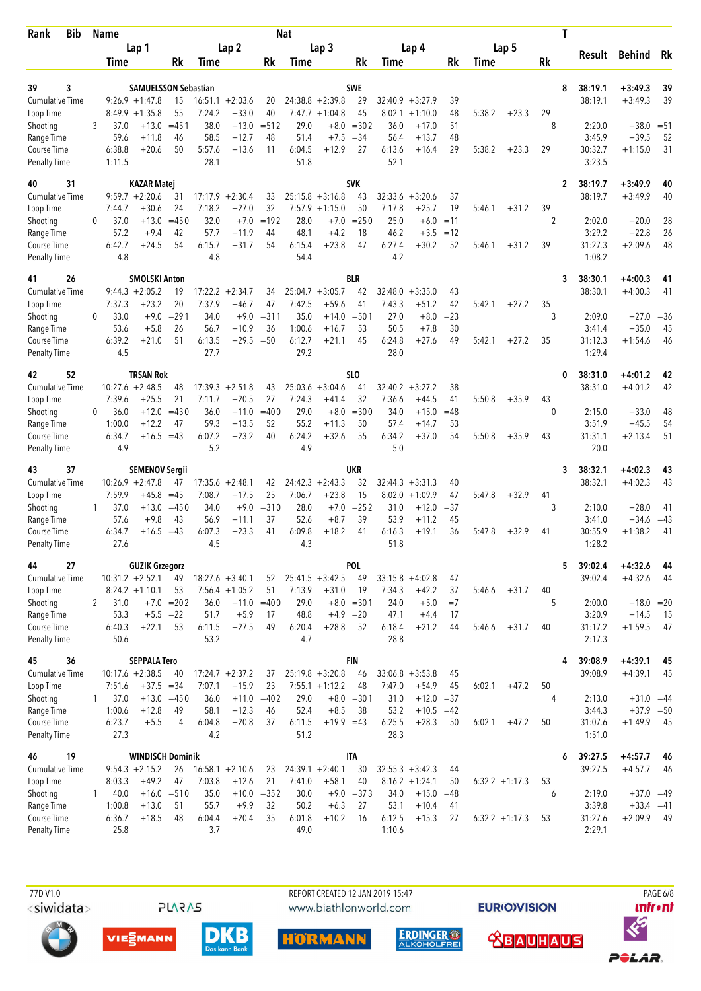| <b>Bib</b><br>Rank                  | Name         |                  |                                             |               |                   |                      |               | <b>Nat</b>     |                               |                  |                   |                        |                |                  |         | Τ                  |                    |                           |             |
|-------------------------------------|--------------|------------------|---------------------------------------------|---------------|-------------------|----------------------|---------------|----------------|-------------------------------|------------------|-------------------|------------------------|----------------|------------------|---------|--------------------|--------------------|---------------------------|-------------|
|                                     |              |                  | Lap 1                                       |               |                   | Lap <sub>2</sub>     |               |                | Lap <sub>3</sub>              |                  |                   | Lap 4                  |                |                  | Lap 5   |                    | Result             | Behind Rk                 |             |
|                                     |              | Time             |                                             | Rk            | Time              |                      | Rk            | Time           |                               | Rk               | Time              |                        | Rk             | Time             |         | Rk                 |                    |                           |             |
| 3<br>39                             |              |                  | <b>SAMUELSSON Sebastian</b>                 |               |                   |                      |               |                |                               | <b>SWE</b>       |                   |                        |                |                  |         | 8                  | 38:19.1            | $+3:49.3$                 | 39          |
| <b>Cumulative Time</b>              |              |                  | $9:26.9 +1:47.8$                            | 15            |                   | $16:51.1 + 2:03.6$   | 20            |                | $24:38.8 + 2:39.8$            | 29               | 32:40.9           | $+3:27.9$              | 39             |                  |         |                    | 38:19.1            | $+3:49.3$                 | 39          |
| Loop Time                           |              |                  | $8:49.9 +1:35.8$                            | 55            | 7:24.2            | $+33.0$              | 40            |                | $7:47.7 +1:04.8$              | 45               | 8:02.1            | $+1:10.0$              | 48             | 5:38.2           | $+23.3$ | 29                 |                    |                           |             |
| Shooting                            | 3            | 37.0             | $+13.0$                                     | $= 451$       | 38.0              | $+13.0$              | $= 512$       | 29.0           | $+8.0$                        | $= 302$          | 36.0              | $+17.0$                | 51             |                  |         | 8                  | 2:20.0             | $+38.0$                   | $= 51$      |
| Range Time<br>Course Time           |              | 59.6<br>6:38.8   | $+11.8$<br>$+20.6$                          | 46<br>50      | 58.5<br>5:57.6    | $+12.7$<br>$+13.6$   | 48<br>11      | 51.4<br>6:04.5 | $+7.5$<br>$+12.9$             | $= 34$<br>27     | 56.4<br>6:13.6    | $+13.7$<br>$+16.4$     | 48<br>29       | 5:38.2           | $+23.3$ | 29                 | 3:45.9<br>30:32.7  | $+39.5$<br>$+1:15.0$      | 52<br>31    |
| Penalty Time                        |              | 1:11.5           |                                             |               | 28.1              |                      |               | 51.8           |                               |                  | 52.1              |                        |                |                  |         |                    | 3:23.5             |                           |             |
| 40<br>31                            |              |                  | <b>KAZAR Matej</b>                          |               |                   |                      |               |                |                               | <b>SVK</b>       |                   |                        |                |                  |         | $\mathbf{2}$       | 38:19.7            | +3:49.9                   | 40          |
| <b>Cumulative Time</b>              |              |                  | $9:59.7 + 2:20.6$                           | 31            | 17:17.9           | $+2:30.4$            | 33            |                | $25:15.8 + 3:16.8$            | 43               | 32:33.6           | $+3:20.6$              | 37             |                  |         |                    | 38:19.7            | $+3:49.9$                 | 40          |
| Loop Time                           |              | 7:44.7           | $+30.6$                                     | 24            | 7:18.2            | $+27.0$              | 32            | 7:57.9         | $+1:15.0$                     | 50               | 7:17.8            | $+25.7$                | 19             | 5:46.1           | $+31.2$ | 39                 |                    |                           |             |
| Shooting<br>Range Time              | 0            | 37.0<br>57.2     | $+13.0$<br>$+9.4$                           | $=450$<br>42  | 32.0<br>57.7      | $+7.0$<br>$+11.9$    | $=192$<br>44  | 28.0<br>48.1   | $+7.0$<br>$+4.2$              | $= 250$<br>18    | 25.0<br>46.2      | $+6.0$<br>$+3.5$       | $=11$<br>$=12$ |                  |         | 2                  | 2:02.0<br>3:29.2   | $+20.0$<br>$+22.8$        | 28<br>26    |
| Course Time                         |              | 6:42.7           | $+24.5$                                     | 54            | 6:15.7            | $+31.7$              | 54            | 6:15.4         | $+23.8$                       | 47               | 6:27.4            | $+30.2$                | 52             | 5:46.1           | $+31.2$ | 39                 | 31:27.3            | $+2:09.6$                 | 48          |
| <b>Penalty Time</b>                 |              | 4.8              |                                             |               | 4.8               |                      |               | 54.4           |                               |                  | 4.2               |                        |                |                  |         |                    | 1:08.2             |                           |             |
| 26<br>41                            |              |                  | <b>SMOLSKI Anton</b>                        |               |                   |                      |               |                |                               | <b>BLR</b>       |                   |                        |                |                  |         | 3                  | 38:30.1            | $+4:00.3$                 | 41          |
| <b>Cumulative Time</b>              |              |                  | $9:44.3 + 2:05.2$                           | 19            | 17:22.2           | $+2:34.7$            | 34            |                | $25:04.7 + 3:05.7$            | 42               | 32:48.0           | $+3:35.0$              | 43             |                  |         |                    | 38:30.1            | $+4:00.3$                 | 41          |
| Loop Time                           |              | 7:37.3           | $+23.2$                                     | 20            | 7:37.9            | $+46.7$              | 47            | 7:42.5         | $+59.6$                       | 41               | 7:43.3            | $+51.2$                | 42             | 5:42.1           | $+27.2$ | 35                 |                    |                           |             |
| Shooting<br>Range Time              | 0            | 33.0<br>53.6     | $+9.0$<br>$+5.8$                            | $= 291$<br>26 | 34.0<br>56.7      | $+9.0$<br>$+10.9$    | $= 311$<br>36 | 35.0<br>1:00.6 | $+14.0$<br>$+16.7$            | $= 501$<br>53    | 27.0<br>50.5      | $+8.0$<br>$+7.8$       | $= 23$<br>30   |                  |         | 3                  | 2:09.0<br>3:41.4   | $+27.0$<br>$+35.0$        | $=36$<br>45 |
| Course Time                         |              | 6:39.2           | $+21.0$                                     | 51            | 6:13.5            | $+29.5$              | $=50$         | 6:12.7         | $+21.1$                       | 45               | 6:24.8            | $+27.6$                | 49             | 5:42.1           | $+27.2$ | 35                 | 31:12.3            | $+1:54.6$                 | 46          |
| Penalty Time                        |              | 4.5              |                                             |               | 27.7              |                      |               | 29.2           |                               |                  | 28.0              |                        |                |                  |         |                    | 1:29.4             |                           |             |
| 42<br>52                            |              |                  | <b>TRSAN Rok</b>                            |               |                   |                      |               |                |                               | SLO              |                   |                        |                |                  |         | 0                  | 38:31.0            | $+4:01.2$                 | 42          |
| <b>Cumulative Time</b>              |              |                  | $10:27.6 + 2:48.5$                          | 48            |                   | $17:39.3 + 2:51.8$   | 43            |                | $25:03.6 + 3:04.6$            | 41               |                   | $32:40.2 + 3:27.2$     | 38             |                  |         |                    | 38:31.0            | $+4:01.2$                 | 42          |
| Loop Time<br>Shooting               | $\Omega$     | 7:39.6<br>36.0   | $+25.5$<br>$+12.0$                          | 21<br>$=430$  | 7:11.7<br>36.0    | $+20.5$<br>$+11.0$   | 27<br>$=400$  | 7:24.3<br>29.0 | $+41.4$<br>$+8.0$             | 32<br>$= 300$    | 7:36.6<br>34.0    | $+44.5$<br>$+15.0$     | 41<br>$=48$    | 5:50.8           | $+35.9$ | 43<br>$\mathbf{0}$ | 2:15.0             | $+33.0$                   | 48          |
| Range Time                          |              | 1:00.0           | $+12.2$                                     | 47            | 59.3              | $+13.5$              | 52            | 55.2           | $+11.3$                       | 50               | 57.4              | $+14.7$                | 53             |                  |         |                    | 3:51.9             | $+45.5$                   | 54          |
| <b>Course Time</b>                  |              | 6:34.7           | $+16.5$                                     | $=43$         | 6:07.2            | $+23.2$              | 40            | 6:24.2         | $+32.6$                       | 55               | 6:34.2            | $+37.0$                | 54             | 5:50.8           | $+35.9$ | 43                 | 31:31.1            | $+2:13.4$                 | 51          |
| <b>Penalty Time</b>                 |              | 4.9              |                                             |               | 5.2               |                      |               | 4.9            |                               |                  | 5.0               |                        |                |                  |         |                    | 20.0               |                           |             |
| 37<br>43                            |              |                  | <b>SEMENOV Sergii</b>                       |               |                   |                      |               |                |                               | UKR              |                   |                        |                |                  |         | 3                  | 38:32.1            | $+4:02.3$                 | 43          |
| <b>Cumulative Time</b><br>Loop Time |              | 7:59.9           | $10:26.9 + 2:47.8$<br>$+45.8$               | 47<br>$=45$   | 17:35.6<br>7:08.7 | $+2:48.1$<br>$+17.5$ | 42<br>25      | 7:06.7         | $24:42.3 + 2:43.3$<br>$+23.8$ | 32<br>15         | 32:44.3<br>8:02.0 | $+3:31.3$<br>$+1:09.9$ | 40<br>47       | 5:47.8           | $+32.9$ | 41                 | 38:32.1            | $+4:02.3$                 | 43          |
| Shooting                            | 1            | 37.0             | $+13.0$                                     | $=450$        | 34.0              | $+9.0$               | $= 310$       | 28.0           | $+7.0$                        | $= 252$          | 31.0              | $+12.0$                | $= 37$         |                  |         | 3                  | 2:10.0             | $+28.0$                   | 41          |
| Range Time                          |              | 57.6             | $+9.8$                                      | 43            | 56.9              | $+11.1$              | 37            | 52.6           | $+8.7$                        | 39               | 53.9              | $+11.2$                | 45             |                  |         |                    | 3:41.0             | $+34.6$                   | $=43$       |
| Course Time                         |              | 6:34.7           | $+16.5$                                     | $=43$         | 6:07.3            | $+23.3$              | 41            | 6:09.8         | $+18.2$                       | 41               | 6:16.3            | $+19.1$                | 36             | 5:47.8           | $+32.9$ | 41                 | 30:55.9            | $+1:38.2$                 | 41          |
| <b>Penalty Time</b>                 |              | 27.6             |                                             |               | 4.5               |                      |               | 4.3            |                               |                  | 51.8              |                        |                |                  |         |                    | 1:28.2             |                           |             |
| 27<br>44<br>Cumulative Time         |              |                  | <b>GUZIK Grzegorz</b><br>$10:31.2 +2:52.1$  |               |                   | $18:27.6 + 3:40.1$   |               |                | $25:41.5 + 3:42.5$            | POL<br>49        |                   | $33:15.8 + 4:02.8$     |                |                  |         | 5                  | 39:02.4<br>39:02.4 | $+4:32.6$<br>$+4:32.6$    | 44          |
| Loop Time                           |              |                  | $8:24.2 +1:10.1$                            | 49<br>53      |                   | $7:56.4 +1:05.2$     | 52<br>51      | 7:13.9         | $+31.0$                       | 19               | 7:34.3            | $+42.2$                | 47<br>37       | 5:46.6           | $+31.7$ | 40                 |                    |                           | -44         |
| Shooting                            | $\mathbf{2}$ | 31.0             |                                             | $+7.0 = 202$  | 36.0              |                      | $+11.0 = 400$ | 29.0           |                               | $+8.0 = 301$     | 24.0              | $+5.0$                 | $=7$           |                  |         | 5                  | 2:00.0             | $+18.0 = 20$              |             |
| Range Time                          |              | 53.3             | $+5.5 = 22$                                 |               | 51.7              | $+5.9$               | 17            | 48.8           | $+4.9 = 20$                   |                  | 47.1              | $+4.4$                 | 17             |                  |         |                    | 3:20.9             | $+14.5$                   | - 15        |
| Course Time                         |              | 6:40.3           | $+22.1$                                     | 53            | 6:11.5            | $+27.5$              | 49            | 6:20.4         | $+28.8$                       | 52               | 6:18.4            | $+21.2$                | 44             | 5:46.6           | $+31.7$ | 40                 | 31:17.2            | $+1:59.5$                 | 47          |
| <b>Penalty Time</b>                 |              | 50.6             |                                             |               | 53.2              |                      |               | 4.7            |                               |                  | 28.8              |                        |                |                  |         |                    | 2:17.3             |                           |             |
| 45<br>36<br><b>Cumulative Time</b>  |              |                  | <b>SEPPALA Tero</b><br>$10:17.6 + 2:38.5$   | 40            |                   | $17:24.7 + 2:37.2$   | 37            |                | $25:19.8 + 3:20.8$            | <b>FIN</b><br>46 |                   | $33:06.8 + 3:53.8$     | 45             |                  |         | 4                  | 39:08.9<br>39:08.9 | $+4:39.1$<br>$+4:39.1$    | 45<br>45    |
| Loop Time                           |              | 7:51.6           | $+37.5 = 34$                                |               | 7:07.1            | $+15.9$              | 23            |                | $7:55.1 + 1:12.2$             | 48               | 7:47.0            | $+54.9$                | 45             | 6:02.1           | $+47.2$ | 50                 |                    |                           |             |
| Shooting                            | $\mathbf{1}$ | 37.0             |                                             | $+13.0 = 450$ | 36.0              |                      | $+11.0 = 402$ | 29.0           |                               | $+8.0 = 301$     | 31.0              | $+12.0 = 37$           |                |                  |         | 4                  | 2:13.0             | $+31.0 = 44$              |             |
| Range Time                          |              | 1:00.6           | $+12.8$                                     | 49            | 58.1              | $+12.3$              | 46            | 52.4           | $+8.5$                        | 38               | 53.2              | $+10.5 = 42$           |                |                  |         |                    | 3:44.3             | $+37.9 = 50$              |             |
| Course Time<br><b>Penalty Time</b>  |              | 6:23.7<br>27.3   | $+5.5$                                      | 4             | 6:04.8<br>4.2     | $+20.8$              | 37            | 6:11.5<br>51.2 | $+19.9 = 43$                  |                  | 6:25.5<br>28.3    | $+28.3$                | 50             | 6:02.1           | $+47.2$ | 50                 | 31:07.6<br>1:51.0  | $+1:49.9$                 | - 45        |
|                                     |              |                  |                                             |               |                   |                      |               |                |                               |                  |                   |                        |                |                  |         |                    |                    |                           |             |
| 19<br>46<br><b>Cumulative Time</b>  |              |                  | <b>WINDISCH Dominik</b><br>$9:54.3 +2:15.2$ | 26            |                   | $16:58.1 + 2:10.6$   | 23            |                | $24:39.1 + 2:40.1$            | <b>ITA</b><br>30 |                   | $32:55.3 + 3:42.3$     | 44             |                  |         | 6                  | 39:27.5<br>39:27.5 | $+4:57.7$<br>$+4:57.7$    | 46<br>-46   |
| Loop Time                           |              | 8:03.3           | $+49.2$                                     | 47            | 7:03.8            | $+12.6$              | 21            | 7:41.0         | $+58.1$                       | 40               |                   | $8:16.2 + 1:24.1$      | 50             | $6:32.2 +1:17.3$ |         | 53                 |                    |                           |             |
| Shooting                            | $\mathbf{1}$ | 40.0             | $+16.0$                                     | $= 510$       | 35.0              |                      | $+10.0 = 352$ | 30.0           |                               | $+9.0 = 373$     | 34.0              | $+15.0$                | $=48$          |                  |         | 6                  | 2:19.0             | $+37.0 = 49$              |             |
| Range Time<br>Course Time           |              | 1:00.8<br>6:36.7 | $+13.0$<br>$+18.5$                          | 51<br>48      | 55.7<br>6:04.4    | $+9.9$<br>$+20.4$    | 32<br>35      | 50.2<br>6:01.8 | $+6.3$<br>$+10.2$             | 27<br>16         | 53.1<br>6:12.5    | $+10.4$<br>$+15.3$     | 41<br>27       | $6:32.2 +1:17.3$ |         | 53                 | 3:39.8<br>31:27.6  | $+33.4 = 41$<br>$+2:09.9$ | 49          |
| <b>Penalty Time</b>                 |              | 25.8             |                                             |               | 3.7               |                      |               | 49.0           |                               |                  | 1:10.6            |                        |                |                  |         |                    | 2:29.1             |                           |             |
|                                     |              |                  |                                             |               |                   |                      |               |                |                               |                  |                   |                        |                |                  |         |                    |                    |                           |             |

<siwidata>

**PLARAS** 

PAGE 6/8 REPORT CREATED 12 JAN 2019 15:47 www.biathlonworld.com











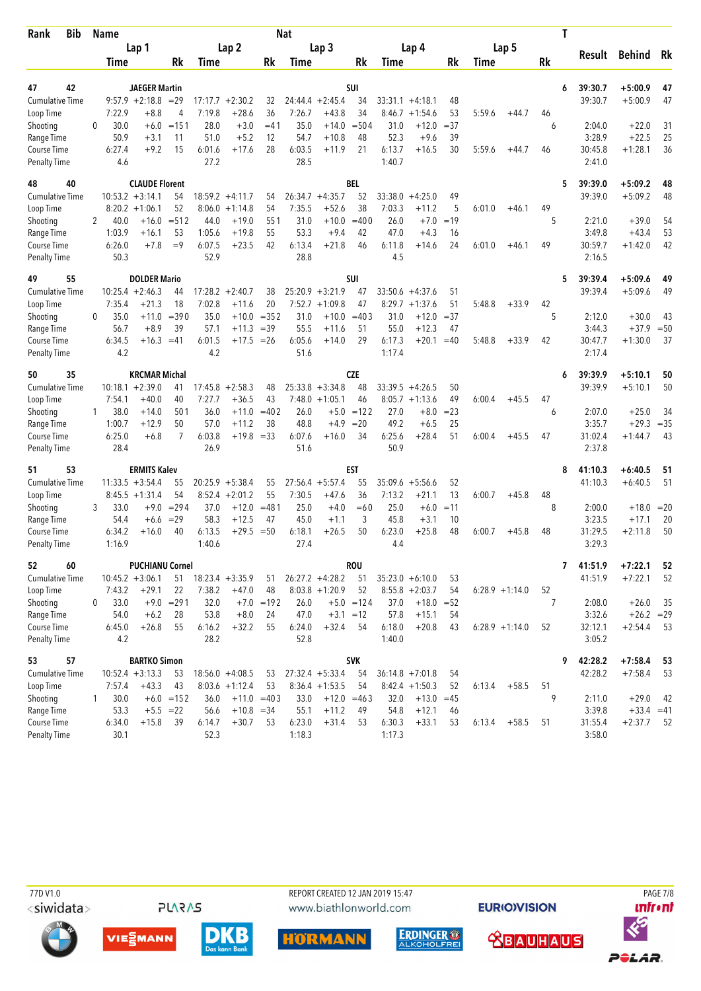| <b>Bib</b><br>Rank                 |              | Name           |                              |                |                   |                      |               | <b>Nat</b>     |                                 |                   |                   |                        |          |        |                  |    | Τ                 |                           |          |
|------------------------------------|--------------|----------------|------------------------------|----------------|-------------------|----------------------|---------------|----------------|---------------------------------|-------------------|-------------------|------------------------|----------|--------|------------------|----|-------------------|---------------------------|----------|
|                                    |              |                | Lap 1                        |                |                   | Lap <sub>2</sub>     |               |                | Lap <sub>3</sub>                |                   |                   | Lap 4                  |          |        | Lap 5            |    |                   |                           | Rk       |
|                                    |              | Time           |                              | Rk             | Time              |                      | Rk            | Time           |                                 | Rk                | Time              |                        | Rk       | Time   |                  | Rk | Result            | <b>Behind</b>             |          |
| 47<br>42                           |              |                | <b>JAEGER Martin</b>         |                |                   |                      |               |                |                                 | <b>SUI</b>        |                   |                        |          |        |                  |    | 39:30.7<br>6      | $+5:00.9$                 | 47       |
| <b>Cumulative Time</b>             |              |                | $9:57.9 +2:18.8 = 29$        |                | 17:17.7           | $+2:30.2$            | 32            |                | $24:44.4 + 2:45.4$              | 34                | 33:31.1           | $+4:18.1$              | 48       |        |                  |    | 39:30.7           | $+5:00.9$                 | 47       |
| Loop Time                          |              | 7:22.9         | $+8.8$                       | 4              | 7:19.8            | $+28.6$              | 36            | 7:26.7         | $+43.8$                         | 34                |                   | $8:46.7 + 1:54.6$      | 53       | 5:59.6 | $+44.7$          | 46 |                   |                           |          |
| Shooting                           | $\Omega$     | 30.0           | $+6.0$                       | $=151$         | 28.0              | $+3.0$               | $=41$         | 35.0           | $+14.0$                         | $= 504$           | 31.0              | $+12.0$                | $=37$    |        |                  | 6  | 2:04.0            | $+22.0$                   | 31       |
| Range Time                         |              | 50.9           | $+3.1$                       | 11             | 51.0              | $+5.2$               | 12            | 54.7           | $+10.8$                         | 48                | 52.3              | $+9.6$                 | 39       |        |                  |    | 3:28.9            | $+22.5$                   | 25       |
| Course Time                        |              | 6:27.4         | $+9.2$                       | 15             | 6:01.6            | $+17.6$              | 28            | 6:03.5         | $+11.9$                         | 21                | 6:13.7            | $+16.5$                | 30       | 5:59.6 | $+44.7$          | 46 | 30:45.8           | $+1:28.1$                 | 36       |
| <b>Penalty Time</b>                |              | 4.6            |                              |                | 27.2              |                      |               | 28.5           |                                 |                   | 1:40.7            |                        |          |        |                  |    | 2:41.0            |                           |          |
| 48<br>40                           |              |                | <b>CLAUDE Florent</b>        |                |                   |                      |               |                |                                 | <b>BEL</b>        |                   |                        |          |        |                  |    | 39:39.0<br>5      | +5:09.2                   | 48       |
| <b>Cumulative Time</b>             |              |                | $10:53.2 + 3:14.1$           | 54             |                   | $18:59.2 +4:11.7$    | 54            |                | $26:34.7 + 4:35.7$              | 52                | 33:38.0           | $+4:25.0$              | 49       |        |                  |    | 39:39.0           | $+5:09.2$                 | 48       |
| Loop Time                          |              |                | $8:20.2 +1:06.1$             | 52             |                   | $8:06.0 + 1:14.8$    | 54            | 7:35.5         | $+52.6$                         | 38                | 7:03.3            | $+11.2$                | 5        | 6:01.0 | $+46.1$          | 49 |                   |                           |          |
| Shooting                           | 2            | 40.0           | $+16.0$                      | $= 512$        | 44.0              | $+19.0$              | 551           | 31.0           | $+10.0$                         | $=400$            | 26.0              | $+7.0$                 | $=19$    |        |                  | 5  | 2:21.0            | $+39.0$                   | 54       |
| Range Time                         |              | 1:03.9         | $+16.1$<br>$+7.8$            | 53<br>$=9$     | 1:05.6            | $+19.8$              | 55<br>42      | 53.3           | $+9.4$                          | 42<br>46          | 47.0              | $+4.3$                 | 16<br>24 |        |                  | 49 | 3:49.8            | $+43.4$                   | 53       |
| Course Time<br><b>Penalty Time</b> |              | 6:26.0<br>50.3 |                              |                | 6:07.5<br>52.9    | $+23.5$              |               | 6:13.4<br>28.8 | $+21.8$                         |                   | 6:11.8<br>4.5     | $+14.6$                |          | 6:01.0 | $+46.1$          |    | 30:59.7<br>2:16.5 | $+1:42.0$                 | 42       |
|                                    |              |                |                              |                |                   |                      |               |                |                                 |                   |                   |                        |          |        |                  |    |                   |                           |          |
| 49<br>55                           |              |                | <b>DOLDER Mario</b>          |                |                   |                      |               |                |                                 | <b>SUI</b>        |                   |                        |          |        |                  |    | 39:39.4<br>5      | +5:09.6                   | 49       |
| <b>Cumulative Time</b>             |              | 7:35.4         | $10:25.4 +2:46.3$<br>$+21.3$ | 44<br>18       | 17:28.2<br>7:02.8 | $+2:40.7$<br>$+11.6$ | 38<br>20      | 7:52.7         | $25:20.9 + 3:21.9$<br>$+1:09.8$ | 47<br>47          | 33:50.6<br>8:29.7 | $+4:37.6$<br>$+1:37.6$ | 51<br>51 | 5:48.8 | $+33.9$          | 42 | 39:39.4           | $+5:09.6$                 | 49       |
| Loop Time<br>Shooting              | $\Omega$     | 35.0           | $+11.0$                      | $= 390$        | 35.0              | $+10.0$              | $= 352$       | 31.0           | $+10.0$                         | $=403$            | 31.0              | $+12.0$                | $=37$    |        |                  | 5  | 2:12.0            | $+30.0$                   | 43       |
| Range Time                         |              | 56.7           | $+8.9$                       | 39             | 57.1              | $+11.3$              | $=39$         | 55.5           | $+11.6$                         | 51                | 55.0              | $+12.3$                | 47       |        |                  |    | 3:44.3            | $+37.9$                   | $=50$    |
| Course Time                        |              | 6:34.5         | $+16.3$                      | $=41$          | 6:01.5            | $+17.5$              | $=26$         | 6:05.6         | $+14.0$                         | 29                | 6:17.3            | $+20.1$                | $=40$    | 5:48.8 | $+33.9$          | 42 | 30:47.7           | $+1:30.0$                 | 37       |
| <b>Penalty Time</b>                |              | 4.2            |                              |                | 4.2               |                      |               | 51.6           |                                 |                   | 1:17.4            |                        |          |        |                  |    | 2:17.4            |                           |          |
| 50<br>35                           |              |                | <b>KRCMAR Michal</b>         |                |                   |                      |               |                |                                 | <b>CZE</b>        |                   |                        |          |        |                  |    | 39:39.9<br>6      | $+5:10.1$                 | 50       |
| <b>Cumulative Time</b>             |              |                | $10:18.1 + 2:39.0$           | 41             | 17:45.8           | $+2:58.3$            | 48            |                | $25:33.8 + 3:34.8$              | 48                |                   | $33:39.5 +4:26.5$      | 50       |        |                  |    | 39:39.9           | $+5:10.1$                 | 50       |
| Loop Time                          |              | 7:54.1         | $+40.0$                      | 40             | 7:27.7            | $+36.5$              | 43            | 7:48.0         | $+1:05.1$                       | 46                |                   | $8:05.7 +1:13.6$       | 49       | 6:00.4 | $+45.5$          | 47 |                   |                           |          |
| Shooting                           | 1            | 38.0           | $+14.0$                      | 501            | 36.0              | $+11.0$              | $=402$        | 26.0           |                                 | $+5.0 = 122$      | 27.0              | $+8.0$                 | $= 23$   |        |                  | 6  | 2:07.0            | $+25.0$                   | 34       |
| Range Time                         |              | 1:00.7         | $+12.9$                      | 50             | 57.0              | $+11.2$              | 38            | 48.8           | $+4.9$                          | $=20$             | 49.2              | $+6.5$                 | 25       |        |                  |    | 3:35.7            | $+29.3$                   | $=35$    |
| Course Time                        |              | 6:25.0         | $+6.8$                       | $\overline{7}$ | 6:03.8            | $+19.8$              | $=33$         | 6:07.6         | $+16.0$                         | 34                | 6:25.6            | $+28.4$                | 51       | 6:00.4 | $+45.5$          | 47 | 31:02.4           | $+1:44.7$                 | 43       |
| Penalty Time                       |              | 28.4           |                              |                | 26.9              |                      |               | 51.6           |                                 |                   | 50.9              |                        |          |        |                  |    | 2:37.8            |                           |          |
| 53<br>51                           |              |                | <b>ERMITS Kalev</b>          |                |                   |                      |               |                |                                 | <b>EST</b>        |                   |                        |          |        |                  |    | 41:10.3<br>8      | $+6:40.5$                 | 51       |
| <b>Cumulative Time</b>             |              |                | $11:33.5 + 3:54.4$           | 55             |                   | $20:25.9 + 5:38.4$   | 55            |                | $27:56.4$ +5:57.4               | 55                | 35:09.6           | $+5:56.6$              | 52       |        |                  |    | 41:10.3           | $+6:40.5$                 | 51       |
| Loop Time                          |              |                | $8:45.5 + 1:31.4$            | 54             | 8:52.4            | $+2:01.2$            | 55            | 7:30.5         | $+47.6$                         | 36                | 7:13.2            | $+21.1$                | 13       | 6:00.7 | $+45.8$          | 48 |                   |                           |          |
| Shooting                           | 3            | 33.0           | $+9.0$                       | $= 294$        | 37.0              | $+12.0$              | $= 481$       | 25.0           | $+4.0$                          | $=60$             | 25.0              | $+6.0$                 | $=11$    |        |                  | 8  | 2:00.0            | $+18.0$                   | $=20$    |
| Range Time                         |              | 54.4           | $+6.6$                       | $=29$          | 58.3              | $+12.5$              | 47            | 45.0           | $+1.1$                          | 3                 | 45.8              | $+3.1$                 | 10       |        |                  |    | 3:23.5            | $+17.1$                   | 20       |
| Course Time                        |              | 6:34.2         | $+16.0$                      | 40             | 6:13.5            | $+29.5$              | $=50$         | 6:18.1         | $+26.5$                         | 50                | 6:23.0            | $+25.8$                | 48       | 6:00.7 | $+45.8$          | 48 | 31:29.5           | $+2:11.8$                 | 50       |
| <b>Penalty Time</b>                |              | 1:16.9         |                              |                | 1:40.6            |                      |               | 27.4           |                                 |                   | 4.4               |                        |          |        |                  |    | 3:29.3            |                           |          |
| 52<br>60                           |              |                | <b>PUCHIANU Cornel</b>       |                |                   |                      |               |                |                                 | <b>ROU</b>        |                   |                        |          |        |                  |    | 7<br>41:51.9      | $+7:22.1$                 | 52       |
| Cumulative Time                    |              |                | $10:45.2 + 3:06.1$           | 51             |                   | $18:23.4 + 3:35.9$   | 51            |                | $26:27.2 +4:28.2$               | 51                |                   | $35:23.0 + 6:10.0$     | 53       |        |                  |    | 41:51.9           | $+7:22.1$                 | 52       |
| Loop Time                          |              | 7:43.2         | $+29.1$                      | 22             | 7:38.2            | $+47.0$              | 48            |                | $8:03.8 +1:20.9$                | 52                |                   | $8:55.8 + 2:03.7$      | 54       |        | $6:28.9 +1:14.0$ | 52 |                   |                           |          |
| Shooting                           | 0            | 33.0           |                              | $+9.0 = 291$   | 32.0              |                      | $+7.0 = 192$  | 26.0           |                                 | $+5.0 = 124$      | 37.0              | $+18.0 = 52$           |          |        |                  | 7  | 2:08.0            | $+26.0$                   | 35       |
| Range Time<br>Course Time          |              | 54.0<br>6:45.0 | $+6.2$<br>$+26.8$            | 28<br>55       | 53.8<br>6:16.2    | $+8.0$<br>$+32.2$    | 24<br>55      | 47.0<br>6:24.0 | $+32.4$                         | $+3.1 = 12$<br>54 | 57.8<br>6:18.0    | $+15.1$<br>$+20.8$     | 54<br>43 |        | $6:28.9 +1:14.0$ | 52 | 3:32.6<br>32:12.1 | $+26.2 = 29$<br>$+2:54.4$ | 53       |
| <b>Penalty Time</b>                |              | 4.2            |                              |                | 28.2              |                      |               | 52.8           |                                 |                   | 1:40.0            |                        |          |        |                  |    | 3:05.2            |                           |          |
| 57                                 |              |                | <b>BARTKO Simon</b>          |                |                   |                      |               |                |                                 | <b>SVK</b>        |                   |                        |          |        |                  |    | 42:28.2<br>9      | $+7:58.4$                 |          |
| 53<br><b>Cumulative Time</b>       |              |                | $10:52.4 + 3:13.3$           | 53             |                   | $18:56.0 + 4:08.5$   | 53            |                | $27:32.4 + 5:33.4$              | 54                |                   | $36:14.8 + 7:01.8$     | 54       |        |                  |    | 42:28.2           | $+7:58.4$                 | 53<br>53 |
| Loop Time                          |              | 7:57.4         | $+43.3$                      | 43             |                   | $8:03.6 +1:12.4$     | 53            |                | $8:36.4 +1:53.5$                | 54                |                   | $8:42.4 +1:50.3$       | 52       | 6:13.4 | $+58.5$          | 51 |                   |                           |          |
| Shooting                           | $\mathbf{1}$ | 30.0           |                              | $+6.0 = 152$   | 36.0              |                      | $+11.0 = 403$ | 33.0           |                                 | $+12.0 = 463$     | 32.0              | $+13.0 = 45$           |          |        |                  | 9  | 2:11.0            | $+29.0$                   | 42       |
| Range Time                         |              | 53.3           | $+5.5 = 22$                  |                | 56.6              | $+10.8 = 34$         |               | 55.1           | $+11.2$                         | 49                | 54.8              | $+12.1$                | 46       |        |                  |    | 3:39.8            | $+33.4 = 41$              |          |
| Course Time                        |              | 6:34.0         | $+15.8$                      | 39             | 6:14.7            | $+30.7$              | 53            | 6:23.0         | $+31.4$                         | 53                | 6:30.3            | $+33.1$                | 53       | 6:13.4 | $+58.5$          | 51 | 31:55.4           | $+2:37.7$                 | 52       |
| <b>Penalty Time</b>                |              | 30.1           |                              |                | 52.3              |                      |               | 1:18.3         |                                 |                   | 1:17.3            |                        |          |        |                  |    | 3:58.0            |                           |          |

<siwidata>

**PLARAS** 

PAGE 718 www.biathlonworld.com